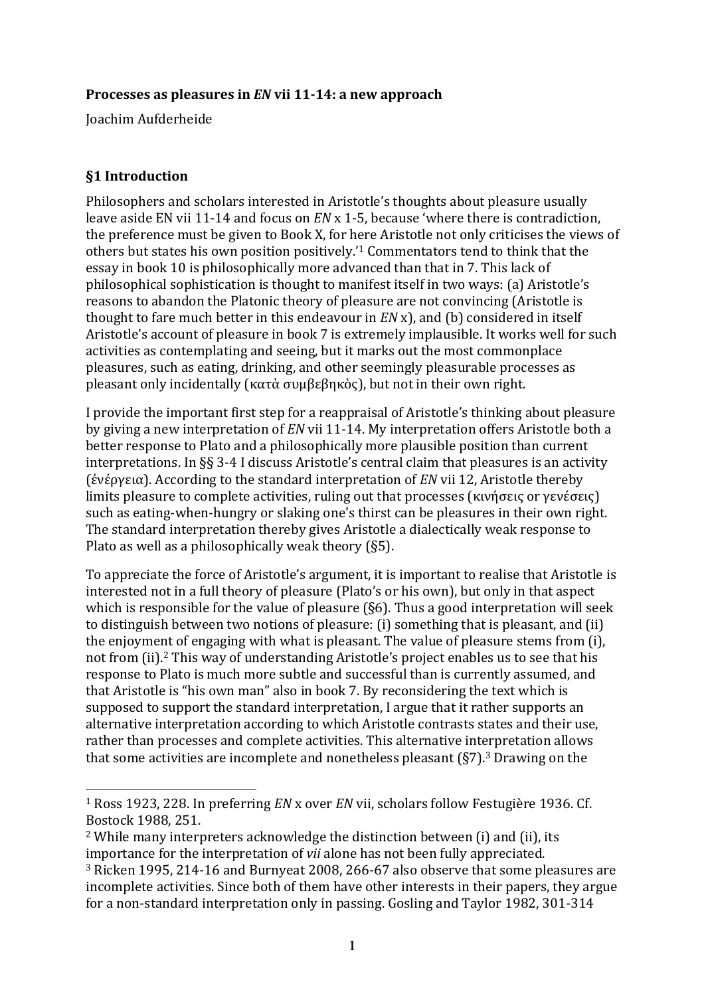### **Processes as pleasures in** *EN* **vii 11-14: a new approach**

Joachim Aufderheide

# **§1 Introduction**

 $\overline{a}$ 

Philosophers and scholars interested in Aristotle's thoughts about pleasure usually leave aside EN vii 11-14 and focus on *EN* x 1-5, because 'where there is contradiction, the preference must be given to Book X, for here Aristotle not only criticises the views of others but states his own position positively.'<sup>1</sup> Commentators tend to think that the essay in book 10 is philosophically more advanced than that in 7. This lack of philosophical sophistication is thought to manifest itself in two ways: (a) Aristotle's reasons to abandon the Platonic theory of pleasure are not convincing (Aristotle is thought to fare much better in this endeavour in *EN* x), and (b) considered in itself Aristotle's account of pleasure in book 7 is extremely implausible. It works well for such activities as contemplating and seeing, but it marks out the most commonplace pleasures, such as eating, drinking, and other seemingly pleasurable processes as pleasant only incidentally (κατὰ συμβεβηκὸς), but not in their own right.

I provide the important first step for a reappraisal of Aristotle's thinking about pleasure by giving a new interpretation of *EN* vii 11-14. My interpretation offers Aristotle both a better response to Plato and a philosophically more plausible position than current interpretations. In  $\S$ § 3-4 I discuss Aristotle's central claim that pleasures is an activity (ἐνέργεια). According to the standard interpretation of *EN* vii 12, Aristotle thereby limits pleasure to complete activities, ruling out that processes (κινήσεις or γενέσεις) such as eating-when-hungry or slaking one's thirst can be pleasures in their own right. The standard interpretation thereby gives Aristotle a dialectically weak response to Plato as well as a philosophically weak theory  $(§5)$ .

To appreciate the force of Aristotle's argument, it is important to realise that Aristotle is interested not in a full theory of pleasure (Plato's or his own), but only in that aspect which is responsible for the value of pleasure  $(S6)$ . Thus a good interpretation will seek to distinguish between two notions of pleasure: (i) something that is pleasant, and (ii) the enjoyment of engaging with what is pleasant. The value of pleasure stems from (i), not from (ii).<sup>2</sup> This way of understanding Aristotle's project enables us to see that his response to Plato is much more subtle and successful than is currently assumed, and that Aristotle is "his own man" also in book 7. By reconsidering the text which is supposed to support the standard interpretation, I argue that it rather supports an alternative interpretation according to which Aristotle contrasts states and their use, rather than processes and complete activities. This alternative interpretation allows that some activities are incomplete and nonetheless pleasant  $(\S7)$ .<sup>3</sup> Drawing on the

<sup>&</sup>lt;sup>1</sup> Ross 1923, 228. In preferring *EN* x over *EN* vii, scholars follow Festugière 1936. Cf. Bostock 1988, 251.

 $2$  While many interpreters acknowledge the distinction between (i) and (ii), its importance for the interpretation of *vii* alone has not been fully appreciated.

<sup>&</sup>lt;sup>3</sup> Ricken 1995, 214-16 and Burnyeat 2008, 266-67 also observe that some pleasures are incomplete activities. Since both of them have other interests in their papers, they argue for a non-standard interpretation only in passing. Gosling and Taylor 1982, 301-314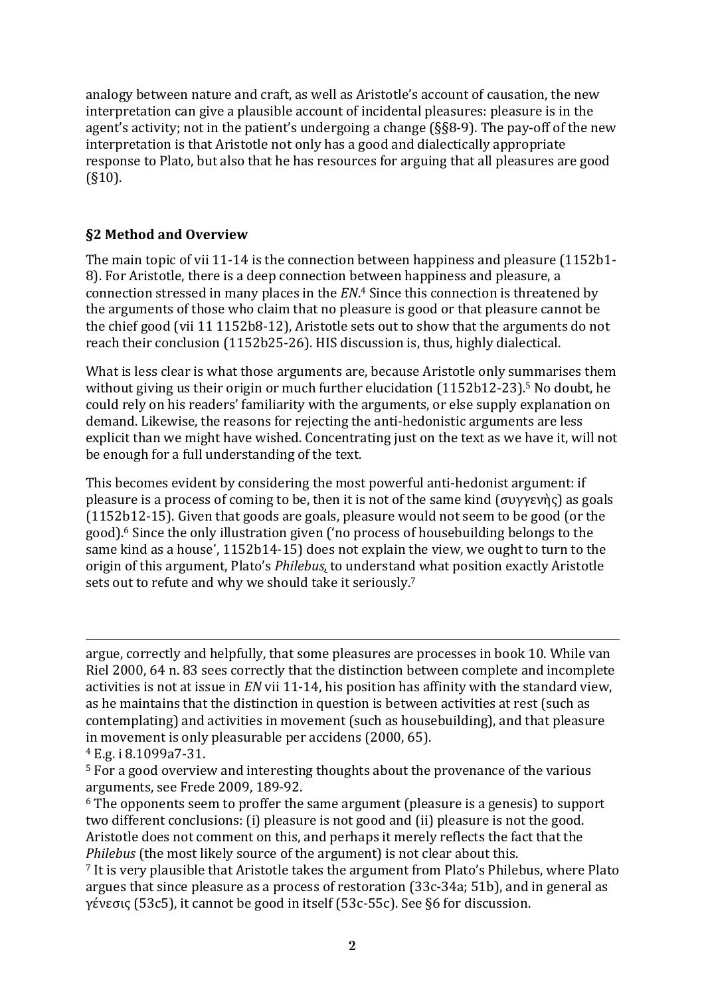analogy between nature and craft, as well as Aristotle's account of causation, the new interpretation can give a plausible account of incidental pleasures: pleasure is in the agent's activity; not in the patient's undergoing a change  $(S_88-9)$ . The pay-off of the new interpretation is that Aristotle not only has a good and dialectically appropriate response to Plato, but also that he has resources for arguing that all pleasures are good (§10).

# **§2 Method and Overview**

The main topic of vii 11-14 is the connection between happiness and pleasure  $(1152b1 -$ 8). For Aristotle, there is a deep connection between happiness and pleasure, a connection stressed in many places in the *EN*.<sup>4</sup> Since this connection is threatened by the arguments of those who claim that no pleasure is good or that pleasure cannot be the chief good (vii 11 1152b8-12), Aristotle sets out to show that the arguments do not reach their conclusion (1152b25-26). HIS discussion is, thus, highly dialectical.

What is less clear is what those arguments are, because Aristotle only summarises them without giving us their origin or much further elucidation  $(1152b12-23)$ .<sup>5</sup> No doubt, he could rely on his readers' familiarity with the arguments, or else supply explanation on demand. Likewise, the reasons for rejecting the anti-hedonistic arguments are less explicit than we might have wished. Concentrating just on the text as we have it, will not be enough for a full understanding of the text.

This becomes evident by considering the most powerful anti-hedonist argument: if pleasure is a process of coming to be, then it is not of the same kind  $(\sigma v \gamma \epsilon v)$  as goals  $(1152b12-15)$ . Given that goods are goals, pleasure would not seem to be good (or the good).<sup>6</sup> Since the only illustration given ('no process of housebuilding belongs to the same kind as a house', 1152b14-15) does not explain the view, we ought to turn to the origin of this argument, Plato's *Philebus*, to understand what position exactly Aristotle sets out to refute and why we should take it seriously.<sup>7</sup>

 $\overline{a}$ argue, correctly and helpfully, that some pleasures are processes in book 10. While van Riel 2000, 64 n. 83 sees correctly that the distinction between complete and incomplete activities is not at issue in *EN* vii 11-14, his position has affinity with the standard view, as he maintains that the distinction in question is between activities at rest (such as contemplating) and activities in movement (such as housebuilding), and that pleasure in movement is only pleasurable per accidens (2000, 65).

<sup>4</sup> E.g. i 8.1099a7-31.

 $5$  For a good overview and interesting thoughts about the provenance of the various arguments, see Frede 2009, 189-92.

 $6$  The opponents seem to proffer the same argument (pleasure is a genesis) to support two different conclusions: (i) pleasure is not good and (ii) pleasure is not the good. Aristotle does not comment on this, and perhaps it merely reflects the fact that the *Philebus* (the most likely source of the argument) is not clear about this.

<sup>&</sup>lt;sup>7</sup> It is very plausible that Aristotle takes the argument from Plato's Philebus, where Plato argues that since pleasure as a process of restoration (33c-34a; 51b), and in general as γένεσις (53c5), it cannot be good in itself (53c-55c). See §6 for discussion.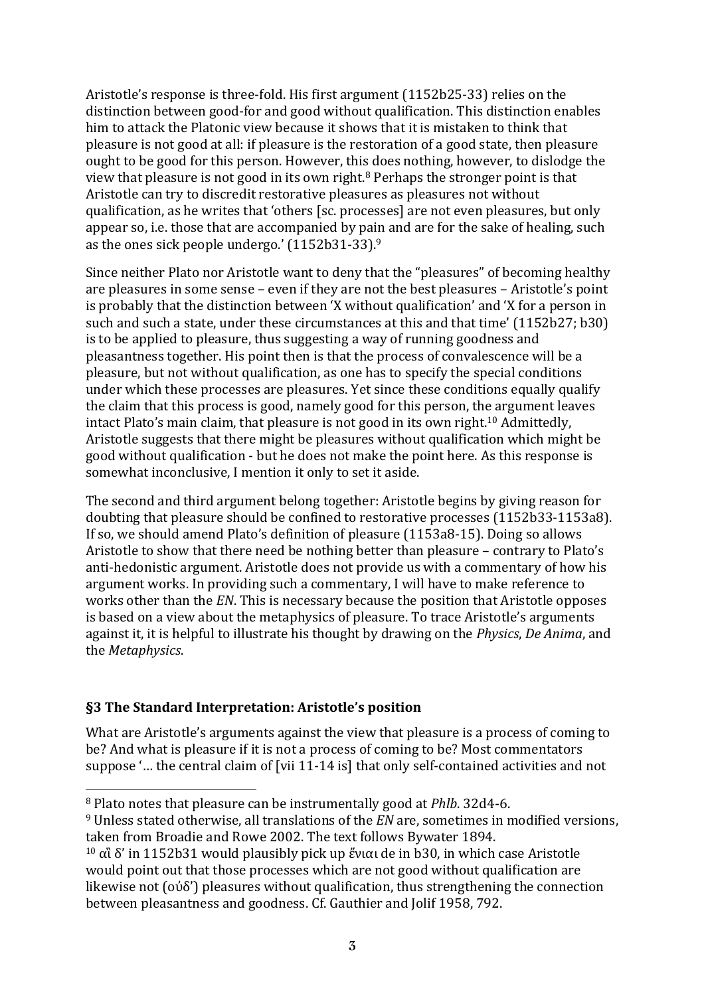Aristotle's response is three-fold. His first argument (1152b25-33) relies on the distinction between good-for and good without qualification. This distinction enables him to attack the Platonic view because it shows that it is mistaken to think that pleasure is not good at all: if pleasure is the restoration of a good state, then pleasure ought to be good for this person. However, this does nothing, however, to dislodge the view that pleasure is not good in its own right.<sup>8</sup> Perhaps the stronger point is that Aristotle can try to discredit restorative pleasures as pleasures not without qualification, as he writes that 'others [sc. processes] are not even pleasures, but only appear so, i.e. those that are accompanied by pain and are for the sake of healing, such as the ones sick people undergo.'  $(1152b31-33)$ .<sup>9</sup>

Since neither Plato nor Aristotle want to deny that the "pleasures" of becoming healthy are pleasures in some sense – even if they are not the best pleasures – Aristotle's point is probably that the distinction between 'X without qualification' and 'X for a person in such and such a state, under these circumstances at this and that time'  $(1152b27; b30)$ is to be applied to pleasure, thus suggesting a way of running goodness and pleasantness together. His point then is that the process of convalescence will be a pleasure, but not without qualification, as one has to specify the special conditions under which these processes are pleasures. Yet since these conditions equally qualify the claim that this process is good, namely good for this person, the argument leaves intact Plato's main claim, that pleasure is not good in its own right.<sup>10</sup> Admittedly. Aristotle suggests that there might be pleasures without qualification which might be good without qualification - but he does not make the point here. As this response is somewhat inconclusive, I mention it only to set it aside.

The second and third argument belong together: Aristotle begins by giving reason for doubting that pleasure should be confined to restorative processes (1152b33-1153a8). If so, we should amend Plato's definition of pleasure  $(1153a8-15)$ . Doing so allows Aristotle to show that there need be nothing better than pleasure – contrary to Plato's anti-hedonistic argument. Aristotle does not provide us with a commentary of how his argument works. In providing such a commentary, I will have to make reference to works other than the *EN*. This is necessary because the position that Aristotle opposes is based on a view about the metaphysics of pleasure. To trace Aristotle's arguments against it, it is helpful to illustrate his thought by drawing on the *Physics*, *De Anima*, and the *Metaphysics*.

#### **§3 The Standard Interpretation: Aristotle's position**

 $\overline{a}$ 

What are Aristotle's arguments against the view that pleasure is a process of coming to be? And what is pleasure if it is not a process of coming to be? Most commentators suppose '... the central claim of [vii 11-14 is] that only self-contained activities and not

<sup>&</sup>lt;sup>8</sup> Plato notes that pleasure can be instrumentally good at *Phlb*. 32d4-6.

<sup>&</sup>lt;sup>9</sup> Unless stated otherwise, all translations of the *EN* are, sometimes in modified versions, taken from Broadie and Rowe 2002. The text follows Bywater 1894.

<sup>&</sup>lt;sup>10</sup> αἳ δ' in 1152b31 would plausibly pick up ένιαι de in b30, in which case Aristotle would point out that those processes which are not good without qualification are likewise not  $\left( \frac{\delta}{\delta} \right)$  pleasures without qualification, thus strengthening the connection between pleasantness and goodness. Cf. Gauthier and Jolif 1958, 792.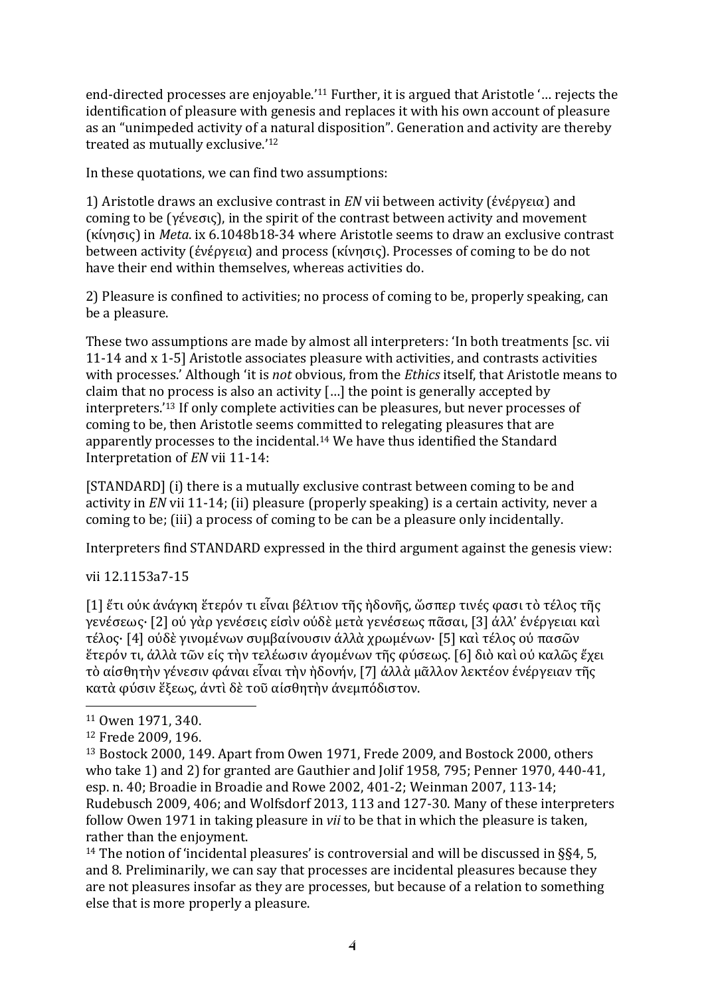end-directed processes are enjoyable.'<sup>11</sup> Further, it is argued that Aristotle '... rejects the identification of pleasure with genesis and replaces it with his own account of pleasure as an "unimpeded activity of a natural disposition". Generation and activity are thereby treated as mutually exclusive.'<sup>12</sup>

In these quotations, we can find two assumptions:

1) Aristotle draws an exclusive contrast in *EN* vii between activity (ένέργεια) and coming to be  $(γένεσις)$ , in the spirit of the contrast between activity and movement (κίνησις) in *Meta*. ix 6.1048b18-34 where Aristotle seems to draw an exclusive contrast between activity (ένέργεια) and process (κίνησις). Processes of coming to be do not have their end within themselves, whereas activities do.

2) Pleasure is confined to activities; no process of coming to be, properly speaking, can be a pleasure.

These two assumptions are made by almost all interpreters: 'In both treatments [sc. vii] 11-14 and x 1-5] Aristotle associates pleasure with activities, and contrasts activities with processes.' Although 'it is *not* obvious, from the *Ethics* itself, that Aristotle means to claim that no process is also an activity  $\lceil \cdot \cdot \rceil$  the point is generally accepted by interpreters.'<sup>13</sup> If only complete activities can be pleasures, but never processes of coming to be, then Aristotle seems committed to relegating pleasures that are apparently processes to the incidental.<sup>14</sup> We have thus identified the Standard Interpretation of *EN* vii 11-14:

[STANDARD] (i) there is a mutually exclusive contrast between coming to be and activity in *EN* vii 11-14; (ii) pleasure (properly speaking) is a certain activity, never a coming to be; (iii) a process of coming to be can be a pleasure only incidentally.

Interpreters find STANDARD expressed in the third argument against the genesis view:

vii 12.1153a7-15

[1] ἕτι ούκ άνάγκη ἕτερόν τι εἶναι βέλτιον τῆς ἡδονῆς, ὥσπερ τινές φασι τὸ τέλος τῆς γενέσεως· [2] ού γὰρ γενέσεις είσὶν ούδὲ μετὰ γενέσεως πᾶσαι, [3] άλλ' ένέργειαι καὶ τέλος· [4] οὐδὲ γινομένων συμβαίνουσιν ἀλλὰ χρωμένων· [5] καὶ τέλος οὐ πασῶν ἕτερόν τι, ἀλλὰ τῶν εἰς τὴν τελέωσιν ἀγομένων τῆς φύσεως. [6] διὸ καὶ οὐ καλῶς ἔχει τὸ αἰσθητὴν γένεσιν φάναι εἶναι τὴν ἡδονήν, [7] ἀλλὰ μᾶλλον λεκτέον ἐνέργειαν τῆς κατὰ φύσιν ἕξεως, ἀντὶ δὲ τοῦ αἰσθητὴν ἀνεμπόδιστον.

<sup>&</sup>lt;sup>11</sup> Owen 1971, 340.

<sup>12</sup> Frede 2009, 196.

<sup>&</sup>lt;sup>13</sup> Bostock 2000, 149. Apart from Owen 1971, Frede 2009, and Bostock 2000, others who take 1) and 2) for granted are Gauthier and Jolif 1958, 795; Penner 1970, 440-41, esp. n. 40; Broadie in Broadie and Rowe 2002, 401-2; Weinman 2007, 113-14; Rudebusch 2009, 406; and Wolfsdorf 2013, 113 and 127-30. Many of these interpreters follow Owen 1971 in taking pleasure in *vii* to be that in which the pleasure is taken, rather than the enjoyment.

<sup>&</sup>lt;sup>14</sup> The notion of 'incidental pleasures' is controversial and will be discussed in §§4, 5, and 8. Preliminarily, we can say that processes are incidental pleasures because they are not pleasures insofar as they are processes, but because of a relation to something else that is more properly a pleasure.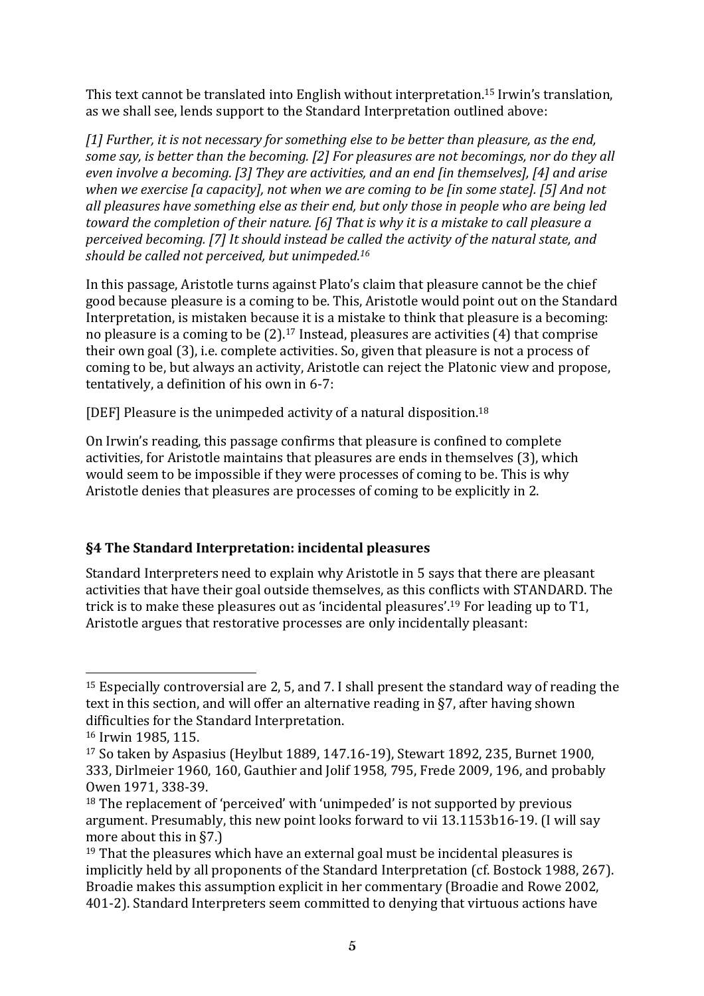This text cannot be translated into English without interpretation.<sup>15</sup> Irwin's translation, as we shall see, lends support to the Standard Interpretation outlined above:

[1] Further, it is not necessary for something else to be better than pleasure, as the end, some say, is better than the becoming. [2] For pleasures are not becomings, nor do they all *even involve a becoming.* [3] They are activities, and an end [in themselves], [4] and arise *when* we exercise [a capacity], not when we are coming to be [in some state]. [5] And not all pleasures have something else as their end, but only those in people who are being led *toward the completion of their nature.* [6] That is why it is a mistake to call pleasure a *perceived becoming.* [7] It should instead be called the activity of the natural state, and should be called not perceived, but unimpeded.<sup>16</sup>

In this passage, Aristotle turns against Plato's claim that pleasure cannot be the chief good because pleasure is a coming to be. This, Aristotle would point out on the Standard Interpretation, is mistaken because it is a mistake to think that pleasure is a becoming: no pleasure is a coming to be  $(2)$ .<sup>17</sup> Instead, pleasures are activities  $(4)$  that comprise their own goal (3), i.e. complete activities. So, given that pleasure is not a process of coming to be, but always an activity, Aristotle can reject the Platonic view and propose, tentatively, a definition of his own in 6-7:

[DEF] Pleasure is the unimpeded activity of a natural disposition.<sup>18</sup>

On Irwin's reading, this passage confirms that pleasure is confined to complete activities, for Aristotle maintains that pleasures are ends in themselves (3), which would seem to be impossible if they were processes of coming to be. This is why Aristotle denies that pleasures are processes of coming to be explicitly in 2.

# **§4** The Standard Interpretation: incidental pleasures

Standard Interpreters need to explain why Aristotle in 5 says that there are pleasant activities that have their goal outside themselves, as this conflicts with STANDARD. The trick is to make these pleasures out as 'incidental pleasures'.<sup>19</sup> For leading up to T1, Aristotle argues that restorative processes are only incidentally pleasant:

 $\overline{a}$  $15$  Especially controversial are 2, 5, and 7. I shall present the standard way of reading the text in this section, and will offer an alternative reading in  $\S7$ , after having shown difficulties for the Standard Interpretation.

<sup>16</sup> Irwin 1985, 115.

<sup>&</sup>lt;sup>17</sup> So taken by Aspasius (Heylbut 1889, 147.16-19), Stewart 1892, 235, Burnet 1900, 333, Dirlmeier 1960, 160, Gauthier and Jolif 1958, 795, Frede 2009, 196, and probably Owen 1971, 338-39.

 $18$  The replacement of 'perceived' with 'unimpeded' is not supported by previous argument. Presumably, this new point looks forward to vii 13.1153b16-19. (I will say more about this in  $$7.$ )

 $19$  That the pleasures which have an external goal must be incidental pleasures is implicitly held by all proponents of the Standard Interpretation (cf. Bostock 1988, 267). Broadie makes this assumption explicit in her commentary (Broadie and Rowe 2002, 401-2). Standard Interpreters seem committed to denying that virtuous actions have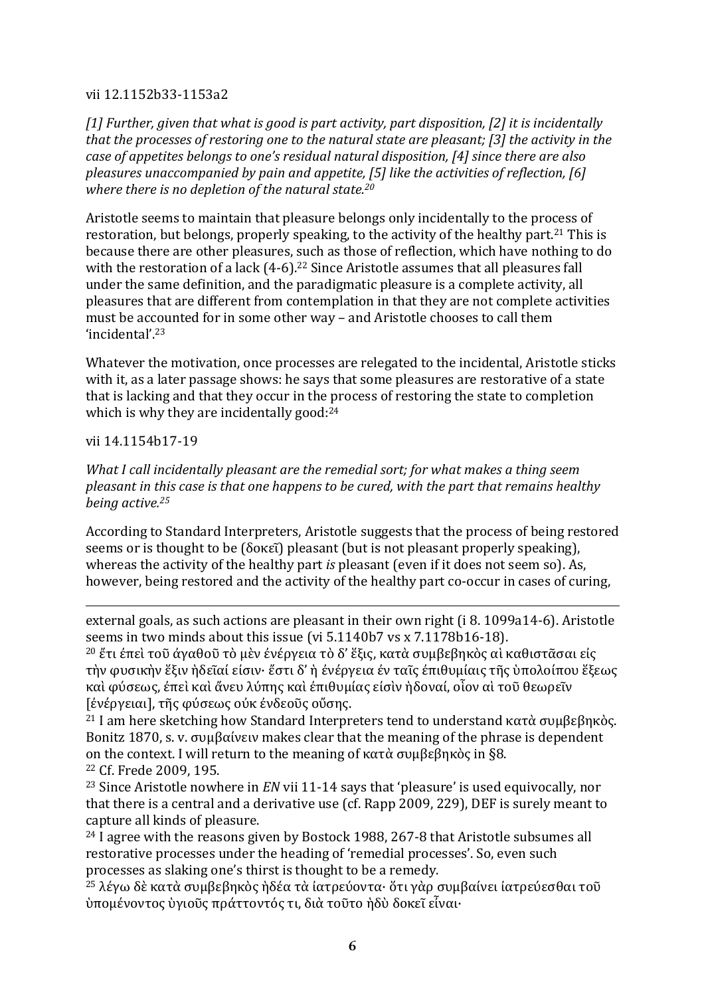#### vii 12.1152b33-1153a2

[1] Further, given that what is good is part activity, part disposition, [2] it is incidentally *that the processes of restoring one to the natural state are pleasant;* [3] the activity in the *case of appetites belongs to one's residual natural disposition, [4] since there are also pleasures unaccompanied by pain and appetite, [5] like the activities of reflection, [6] where there is no depletion of the natural state.<sup>20</sup>* 

Aristotle seems to maintain that pleasure belongs only incidentally to the process of restoration, but belongs, properly speaking, to the activity of the healthy part.<sup>21</sup> This is because there are other pleasures, such as those of reflection, which have nothing to do with the restoration of a lack  $(4-6)$ .<sup>22</sup> Since Aristotle assumes that all pleasures fall under the same definition, and the paradigmatic pleasure is a complete activity, all pleasures that are different from contemplation in that they are not complete activities must be accounted for in some other way - and Aristotle chooses to call them 'incidental'.23

Whatever the motivation, once processes are relegated to the incidental, Aristotle sticks with it, as a later passage shows: he says that some pleasures are restorative of a state that is lacking and that they occur in the process of restoring the state to completion which is why they are incidentally good: $24$ 

vii 14.1154b17-19

 $\overline{a}$ 

*What I call incidentally pleasant are the remedial sort; for what makes a thing seem pleasant* in this case is that one happens to be cured, with the part that remains healthy *being active.25*

According to Standard Interpreters, Aristotle suggests that the process of being restored seems or is thought to be  $(δοκε̃i)$  pleasant  $(but$  is not pleasant properly speaking), whereas the activity of the healthy part *is* pleasant (even if it does not seem so). As, however, being restored and the activity of the healthy part co-occur in cases of curing,

external goals, as such actions are pleasant in their own right  $(i 8. 1099a14-6)$ . Aristotle seems in two minds about this issue (vi 5.1140b7 vs x 7.1178b16-18).

<sup>20</sup> ἔτι έπεὶ τοῦ άναθοῦ τὸ μὲν ένέρνεια τὸ δ' ἕξις, κατὰ συμβεβηκὸς αὶ καθιστᾶσαι είς τὴν φυσικὴν ἕξιν ἡδεῖαί είσιν· ἔστι δ' ἡ ένέργεια έν ταῖς ἐπιθυμίαις τῆς ὑπολοίπου ἕξεως καὶ φύσεως, έπεὶ καὶ ἄνευ λύπης καὶ έπιθυμίας είσὶν ἡδοναί, οἶον αὶ τοῦ θεωρεῖν [ένέργειαι], τῆς φύσεως ούκ ένδεοῦς οὔσης.

<sup>21</sup> I am here sketching how Standard Interpreters tend to understand κατὰ συμβεβηκὸς. Bonitz 1870, s. v. συμβαίνειν makes clear that the meaning of the phrase is dependent on the context. I will return to the meaning of κατά συμβεβηκός in §8. <sup>22</sup> Cf. Frede 2009, 195.

<sup>23</sup> Since Aristotle nowhere in *EN* vii 11-14 says that 'pleasure' is used equivocally, nor that there is a central and a derivative use (cf. Rapp 2009, 229), DEF is surely meant to capture all kinds of pleasure.

 $24$  I agree with the reasons given by Bostock 1988, 267-8 that Aristotle subsumes all restorative processes under the heading of 'remedial processes'. So, even such processes as slaking one's thirst is thought to be a remedy.

<sup>25</sup> λέγω δὲ κατὰ συμβεβηκὸς ἡδέα τὰ ἰατρεύοντα· ὅτι γὰρ συμβαίνει ἰατρεύεσθαι τοῦ ὑπομένοντος ὑγιοῦς πράττοντός τι, διὰ τοῦτο ἡδὺ δοκεῖ εἶναι·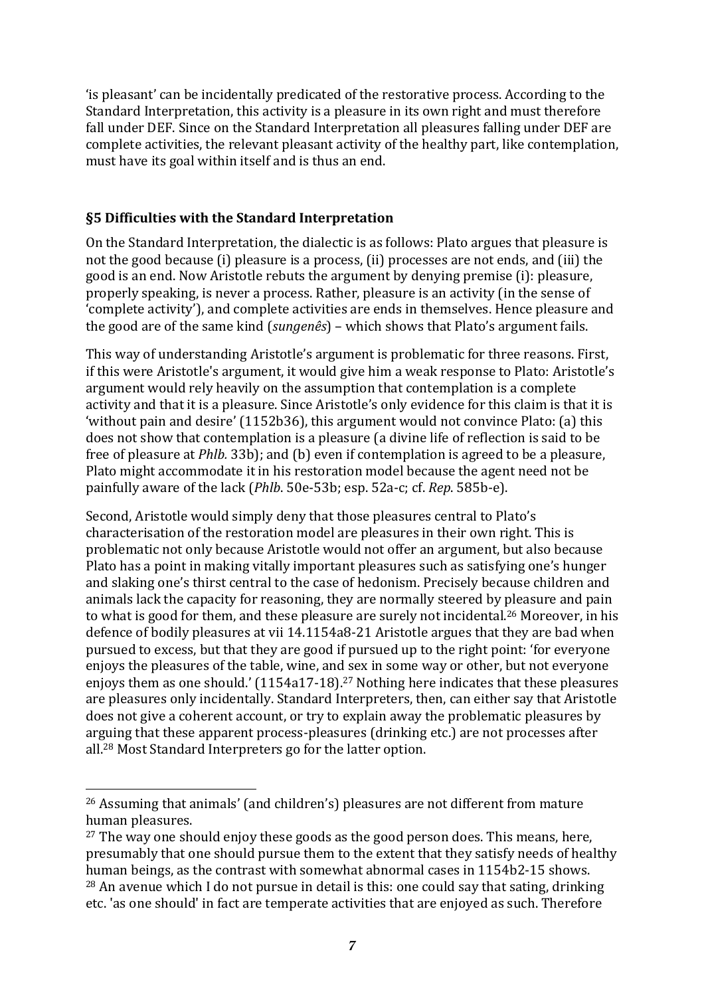'is pleasant' can be incidentally predicated of the restorative process. According to the Standard Interpretation, this activity is a pleasure in its own right and must therefore fall under DEF. Since on the Standard Interpretation all pleasures falling under DEF are complete activities, the relevant pleasant activity of the healthy part, like contemplation, must have its goal within itself and is thus an end.

### **§5 Difficulties with the Standard Interpretation**

On the Standard Interpretation, the dialectic is as follows: Plato argues that pleasure is not the good because (i) pleasure is a process, (ii) processes are not ends, and (iii) the good is an end. Now Aristotle rebuts the argument by denying premise (i): pleasure, properly speaking, is never a process. Rather, pleasure is an activity (in the sense of 'complete activity'), and complete activities are ends in themselves. Hence pleasure and the good are of the same kind (*sungenês*) – which shows that Plato's argument fails.

This way of understanding Aristotle's argument is problematic for three reasons. First, if this were Aristotle's argument, it would give him a weak response to Plato: Aristotle's argument would rely heavily on the assumption that contemplation is a complete activity and that it is a pleasure. Since Aristotle's only evidence for this claim is that it is 'without pain and desire'  $(1152b36)$ , this argument would not convince Plato: (a) this does not show that contemplation is a pleasure (a divine life of reflection is said to be free of pleasure at *Phlb.* 33b); and (b) even if contemplation is agreed to be a pleasure, Plato might accommodate it in his restoration model because the agent need not be painfully aware of the lack (*Phlb*. 50e-53b; esp. 52a-c; cf. *Rep*. 585b-e).

Second, Aristotle would simply deny that those pleasures central to Plato's characterisation of the restoration model are pleasures in their own right. This is problematic not only because Aristotle would not offer an argument, but also because Plato has a point in making vitally important pleasures such as satisfying one's hunger and slaking one's thirst central to the case of hedonism. Precisely because children and animals lack the capacity for reasoning, they are normally steered by pleasure and pain to what is good for them, and these pleasure are surely not incidental.<sup>26</sup> Moreover, in his defence of bodily pleasures at vii 14.1154a8-21 Aristotle argues that they are bad when pursued to excess, but that they are good if pursued up to the right point: 'for everyone enjoys the pleasures of the table, wine, and sex in some way or other, but not everyone enjoys them as one should.'  $(1154a17-18)$ .<sup>27</sup> Nothing here indicates that these pleasures are pleasures only incidentally. Standard Interpreters, then, can either say that Aristotle does not give a coherent account, or try to explain away the problematic pleasures by arguing that these apparent process-pleasures (drinking etc.) are not processes after all.<sup>28</sup> Most Standard Interpreters go for the latter option.

<sup>&</sup>lt;sup>26</sup> Assuming that animals' (and children's) pleasures are not different from mature human pleasures.

 $27$  The way one should enjoy these goods as the good person does. This means, here, presumably that one should pursue them to the extent that they satisfy needs of healthy human beings, as the contrast with somewhat abnormal cases in 1154b2-15 shows.  $28$  An avenue which I do not pursue in detail is this: one could say that sating, drinking etc. 'as one should' in fact are temperate activities that are enjoved as such. Therefore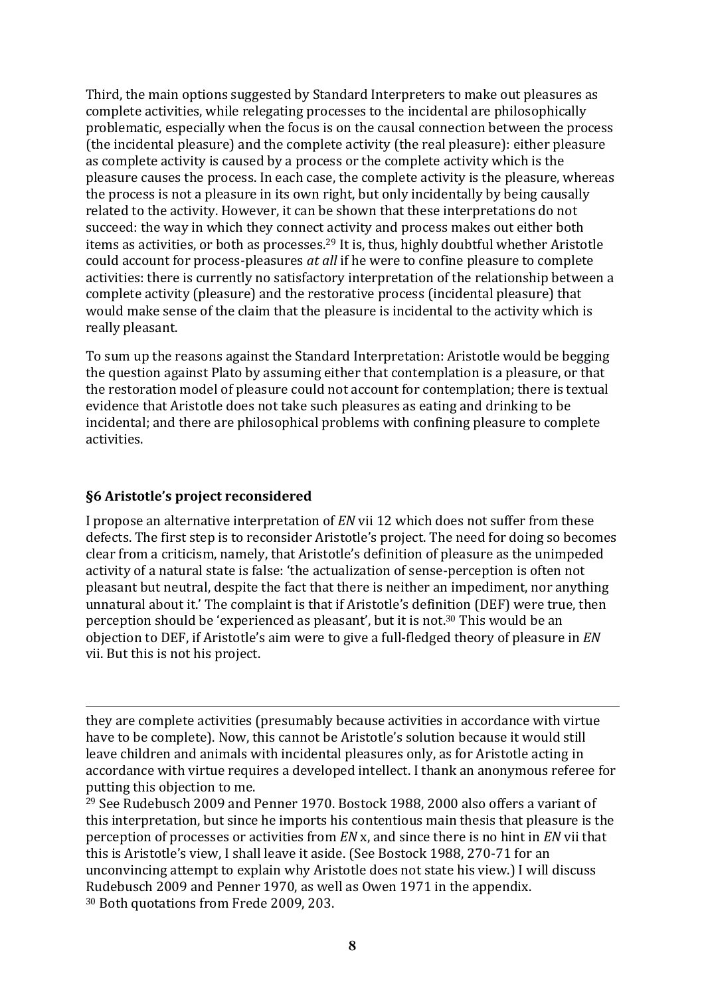Third, the main options suggested by Standard Interpreters to make out pleasures as complete activities, while relegating processes to the incidental are philosophically problematic, especially when the focus is on the causal connection between the process (the incidental pleasure) and the complete activity (the real pleasure): either pleasure as complete activity is caused by a process or the complete activity which is the pleasure causes the process. In each case, the complete activity is the pleasure, whereas the process is not a pleasure in its own right, but only incidentally by being causally related to the activity. However, it can be shown that these interpretations do not succeed: the way in which they connect activity and process makes out either both items as activities, or both as processes.<sup>29</sup> It is, thus, highly doubtful whether Aristotle could account for process-pleasures *at all* if he were to confine pleasure to complete activities: there is currently no satisfactory interpretation of the relationship between a complete activity (pleasure) and the restorative process (incidental pleasure) that would make sense of the claim that the pleasure is incidental to the activity which is really pleasant.

To sum up the reasons against the Standard Interpretation: Aristotle would be begging the question against Plato by assuming either that contemplation is a pleasure, or that the restoration model of pleasure could not account for contemplation; there is textual evidence that Aristotle does not take such pleasures as eating and drinking to be incidental; and there are philosophical problems with confining pleasure to complete activities.

### **§6 Aristotle's project reconsidered**

 $\overline{a}$ 

I propose an alternative interpretation of *EN* vii 12 which does not suffer from these defects. The first step is to reconsider Aristotle's project. The need for doing so becomes clear from a criticism, namely, that Aristotle's definition of pleasure as the unimpeded activity of a natural state is false: 'the actualization of sense-perception is often not pleasant but neutral, despite the fact that there is neither an impediment, nor anything unnatural about it.' The complaint is that if Aristotle's definition (DEF) were true, then perception should be 'experienced as pleasant', but it is not.<sup>30</sup> This would be an objection to DEF, if Aristotle's aim were to give a full-fledged theory of pleasure in *EN* vii. But this is not his project.

they are complete activities (presumably because activities in accordance with virtue have to be complete). Now, this cannot be Aristotle's solution because it would still leave children and animals with incidental pleasures only, as for Aristotle acting in accordance with virtue requires a developed intellect. I thank an anonymous referee for putting this objection to me.

 $29$  See Rudebusch 2009 and Penner 1970. Bostock 1988, 2000 also offers a variant of this interpretation, but since he imports his contentious main thesis that pleasure is the perception of processes or activities from *EN* x, and since there is no hint in *EN* vii that this is Aristotle's view, I shall leave it aside. (See Bostock 1988, 270-71 for an unconvincing attempt to explain why Aristotle does not state his view.) I will discuss Rudebusch 2009 and Penner 1970, as well as Owen 1971 in the appendix. <sup>30</sup> Both quotations from Frede 2009, 203.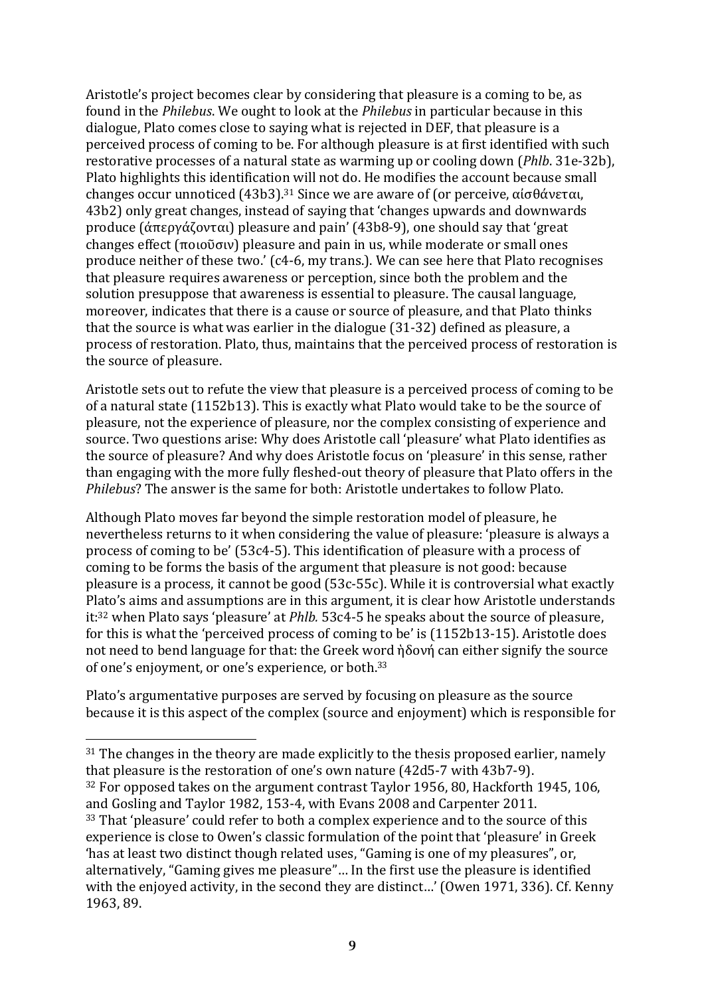Aristotle's project becomes clear by considering that pleasure is a coming to be, as found in the *Philebus*. We ought to look at the *Philebus* in particular because in this dialogue, Plato comes close to saying what is rejected in DEF, that pleasure is a perceived process of coming to be. For although pleasure is at first identified with such restorative processes of a natural state as warming up or cooling down (*Phlb.* 31e-32b), Plato highlights this identification will not do. He modifies the account because small changes occur unnoticed (43b3).<sup>31</sup> Since we are aware of (or perceive, αίσθάνεται, 43b2) only great changes, instead of saying that 'changes upwards and downwards produce  $(\hat{\alpha} \pi \epsilon \rho \gamma \hat{\alpha} (\sigma \nu \tau \alpha))$  pleasure and pain' (43b8-9), one should say that 'great changes effect  $(\pi o_1 o_0 \tilde{\sigma}_1 v)$  pleasure and pain in us, while moderate or small ones produce neither of these two.'  $(c4-6)$ , my trans.). We can see here that Plato recognises that pleasure requires awareness or perception, since both the problem and the solution presuppose that awareness is essential to pleasure. The causal language, moreover, indicates that there is a cause or source of pleasure, and that Plato thinks that the source is what was earlier in the dialogue  $(31-32)$  defined as pleasure, a process of restoration. Plato, thus, maintains that the perceived process of restoration is the source of pleasure.

Aristotle sets out to refute the view that pleasure is a perceived process of coming to be of a natural state (1152b13). This is exactly what Plato would take to be the source of pleasure, not the experience of pleasure, nor the complex consisting of experience and source. Two questions arise: Why does Aristotle call 'pleasure' what Plato identifies as the source of pleasure? And why does Aristotle focus on 'pleasure' in this sense, rather than engaging with the more fully fleshed-out theory of pleasure that Plato offers in the *Philebus*? The answer is the same for both: Aristotle undertakes to follow Plato.

Although Plato moves far beyond the simple restoration model of pleasure, he nevertheless returns to it when considering the value of pleasure: 'pleasure is always a process of coming to be' (53c4-5). This identification of pleasure with a process of coming to be forms the basis of the argument that pleasure is not good: because pleasure is a process, it cannot be good  $(53c-55c)$ . While it is controversial what exactly Plato's aims and assumptions are in this argument, it is clear how Aristotle understands it:<sup>32</sup> when Plato says 'pleasure' at *Phlb.* 53c4-5 he speaks about the source of pleasure, for this is what the 'perceived process of coming to be' is  $(1152b13-15)$ . Aristotle does not need to bend language for that: the Greek word  $\hat{\theta}$  ov $\hat{\theta}$  can either signify the source of one's enjoyment, or one's experience, or both.<sup>33</sup>

Plato's argumentative purposes are served by focusing on pleasure as the source because it is this aspect of the complex (source and enjoyment) which is responsible for

 $\overline{a}$ 

 $31$  The changes in the theory are made explicitly to the thesis proposed earlier, namely that pleasure is the restoration of one's own nature  $(42d5-7$  with  $43b7-9$ ).  $32$  For opposed takes on the argument contrast Taylor 1956, 80, Hackforth 1945, 106, and Gosling and Taylor 1982, 153-4, with Evans 2008 and Carpenter 2011. <sup>33</sup> That 'pleasure' could refer to both a complex experience and to the source of this experience is close to Owen's classic formulation of the point that 'pleasure' in Greek 'has at least two distinct though related uses, "Gaming is one of my pleasures", or, alternatively, "Gaming gives me pleasure"... In the first use the pleasure is identified with the enjoyed activity, in the second they are distinct...' (Owen 1971, 336). Cf. Kenny 1963, 89.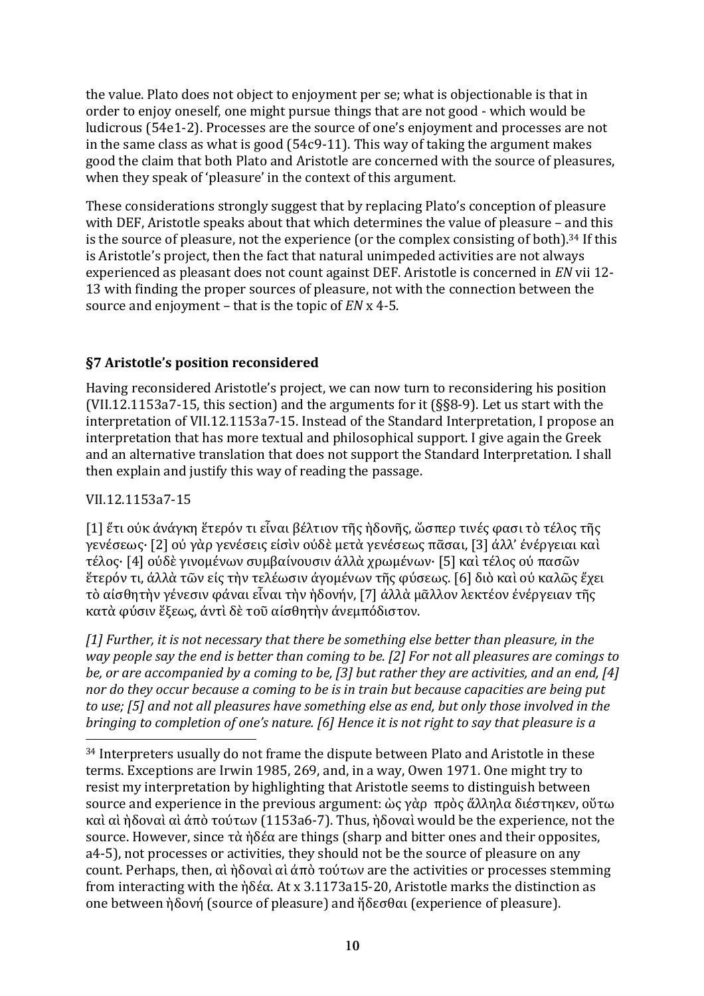the value. Plato does not object to enjoyment per se; what is objectionable is that in order to enjoy oneself, one might pursue things that are not good - which would be ludicrous (54e1-2). Processes are the source of one's enjoyment and processes are not in the same class as what is good  $(54c9-11)$ . This way of taking the argument makes good the claim that both Plato and Aristotle are concerned with the source of pleasures, when they speak of 'pleasure' in the context of this argument.

These considerations strongly suggest that by replacing Plato's conception of pleasure with DEF, Aristotle speaks about that which determines the value of pleasure – and this is the source of pleasure, not the experience (or the complex consisting of both).<sup>34</sup> If this is Aristotle's project, then the fact that natural unimpeded activities are not always experienced as pleasant does not count against DEF. Aristotle is concerned in *EN* vii 12-13 with finding the proper sources of pleasure, not with the connection between the source and enjoyment – that is the topic of *EN* x 4-5.

# **§7 Aristotle's position reconsidered**

Having reconsidered Aristotle's project, we can now turn to reconsidering his position (VII.12.1153a7-15, this section) and the arguments for it  $(S_88-9)$ . Let us start with the interpretation of VII.12.1153a7-15. Instead of the Standard Interpretation, I propose an interpretation that has more textual and philosophical support. I give again the Greek and an alternative translation that does not support the Standard Interpretation. I shall then explain and justify this way of reading the passage.

## VII.12.1153a7-15

 $\overline{a}$ 

[1] ἔτι ούκ άνάγκη ἕτερόν τι εἶναι βέλτιον τῆς ἡδονῆς, ὥσπερ τινές φασι τὸ τέλος τῆς γενέσεως· [2] ού γὰρ γενέσεις είσὶν ούδὲ μετὰ γενέσεως πᾶσαι, [3] άλλ' ένέργειαι καὶ τέλος· [4] οὐδὲ γινομένων συμβαίνουσιν ἀλλὰ χρωμένων· [5] καὶ τέλος οὐ πασῶν ἕτερόν τι, ἀλλὰ τῶν εἰς τὴν τελέωσιν ἀγομένων τῆς φύσεως. [6] διὸ καὶ οὐ καλῶς ἔχει τὸ αίσθητὴν γένεσιν φάναι εἶναι τὴν ἡδονήν, [7] άλλὰ μᾶλλον λεκτέον ένέργειαν τῆς κατά φύσιν ἕξεως, άντὶ δὲ τοῦ αίσθητὴν άνεμπόδιστον.

[1] Further, it is not necessary that there be something else better than pleasure, in the *way* people say the end is better than coming to be. [2] For not all pleasures are comings to *be,* or are accompanied by a coming to be, [3] but rather they are activities, and an end, [4] *nor do they occur because a coming to be is in train but because capacities are being put* to use: [5] and not all pleasures have something else as end, but only those involved in the *bringing* to completion of one's nature. [6] Hence it is not right to say that pleasure is a

<sup>34</sup> Interpreters usually do not frame the dispute between Plato and Aristotle in these terms. Exceptions are Irwin 1985, 269, and, in a way, Owen 1971. One might try to resist my interpretation by highlighting that Aristotle seems to distinguish between source and experience in the previous argument: ὼς γὰρ πρὸς ἄλληλα διέστηκεν, οὕτω καὶ αὶ ὴδοναὶ αὶ άπὸ τούτων (1153a6-7). Thus, ἡδοναὶ would be the experience, not the source. However, since  $\tau\dot{\alpha}$  ήδέα are things (sharp and bitter ones and their opposites, a4-5), not processes or activities, they should not be the source of pleasure on any count. Perhaps, then, αὶ ἡδοναὶ αὶ άπὸ τούτων are the activities or processes stemming from interacting with the  $\hat{\theta}$ δέα. At x 3.1173a15-20, Aristotle marks the distinction as one between ήδονή (source of pleasure) and ἥδεσθαι (experience of pleasure).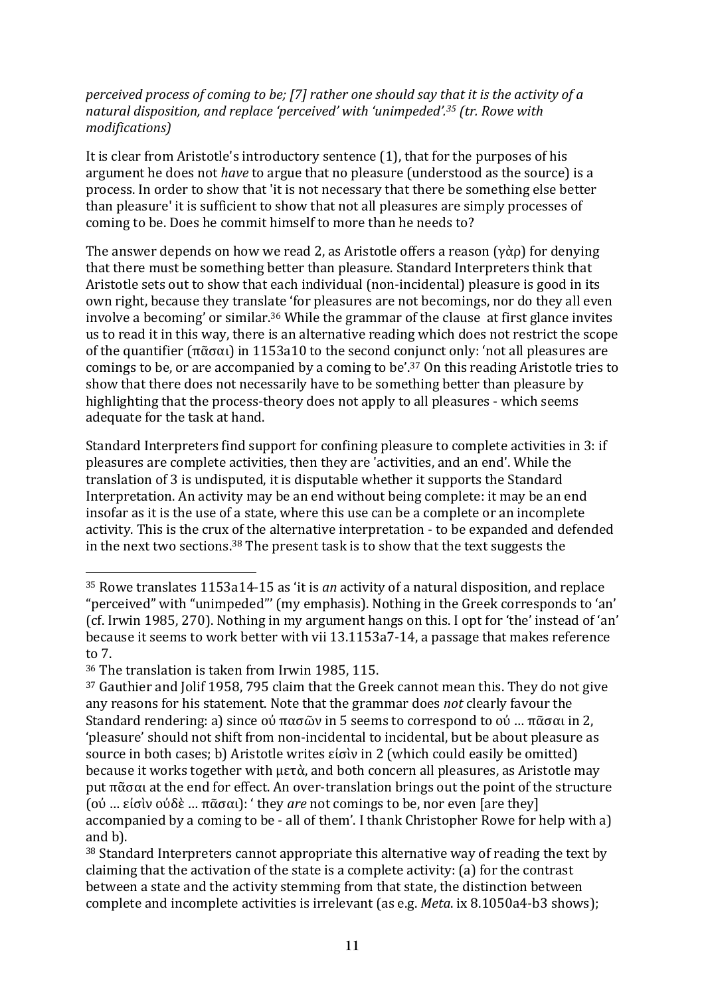#### *perceived process of coming to be;* [7] rather one should say that it is the activity of a *natural disposition, and replace 'perceived' with 'unimpeded'.<sup>35</sup> (tr. Rowe with modifications)*

It is clear from Aristotle's introductory sentence  $(1)$ , that for the purposes of his argument he does not *have* to argue that no pleasure (understood as the source) is a process. In order to show that 'it is not necessary that there be something else better than pleasure' it is sufficient to show that not all pleasures are simply processes of coming to be. Does he commit himself to more than he needs to?

The answer depends on how we read 2, as Aristotle offers a reason  $(\gamma \dot{\alpha} \rho)$  for denying that there must be something better than pleasure. Standard Interpreters think that Aristotle sets out to show that each individual (non-incidental) pleasure is good in its own right, because they translate 'for pleasures are not becomings, nor do they all even involve a becoming' or similar.<sup>36</sup> While the grammar of the clause  $\alpha$  at first glance invites us to read it in this way, there is an alternative reading which does not restrict the scope of the quantifier  $(\pi \tilde{\alpha} \sigma \alpha_1)$  in 1153a10 to the second conjunct only: 'not all pleasures are comings to be, or are accompanied by a coming to be'.<sup>37</sup> On this reading Aristotle tries to show that there does not necessarily have to be something better than pleasure by highlighting that the process-theory does not apply to all pleasures - which seems adequate for the task at hand.

Standard Interpreters find support for confining pleasure to complete activities in 3: if pleasures are complete activities, then they are 'activities, and an end'. While the translation of 3 is undisputed, it is disputable whether it supports the Standard Interpretation. An activity may be an end without being complete: it may be an end insofar as it is the use of a state, where this use can be a complete or an incomplete activity. This is the crux of the alternative interpretation - to be expanded and defended in the next two sections.<sup>38</sup> The present task is to show that the text suggests the

<sup>&</sup>lt;sup>35</sup> Rowe translates 1153a14-15 as 'it is an activity of a natural disposition, and replace "perceived" with "unimpeded"' (my emphasis). Nothing in the Greek corresponds to 'an' (cf. Irwin 1985, 270). Nothing in my argument hangs on this. I opt for 'the' instead of 'an' because it seems to work better with vii 13.1153a7-14, a passage that makes reference to 7.

<sup>&</sup>lt;sup>36</sup> The translation is taken from Irwin 1985, 115.

 $37$  Gauthier and Jolif 1958, 795 claim that the Greek cannot mean this. They do not give any reasons for his statement. Note that the grammar does *not* clearly favour the Standard rendering: a) since  $\alpha\acute{\nu}$  πασῶν in 5 seems to correspond to  $\alpha\acute{\nu}$  … πᾶσαι in 2, 'pleasure' should not shift from non-incidental to incidental, but be about pleasure as source in both cases; b) Aristotle writes είσὶν in 2 (which could easily be omitted) because it works together with  $\mu \in \dot{\alpha}$ , and both concern all pleasures, as Aristotle may put πᾶσαι at the end for effect. An over-translation brings out the point of the structure (οὐ … εἰσὶν οὐδὲ … πᾶσαι): ' they *are* not comings to be, nor even [are they] accompanied by a coming to be - all of them'. I thank Christopher Rowe for help with a) and  $h$ ).

 $38$  Standard Interpreters cannot appropriate this alternative way of reading the text by claiming that the activation of the state is a complete activity: (a) for the contrast between a state and the activity stemming from that state, the distinction between complete and incomplete activities is irrelevant (as e.g. *Meta*. ix 8.1050a4-b3 shows);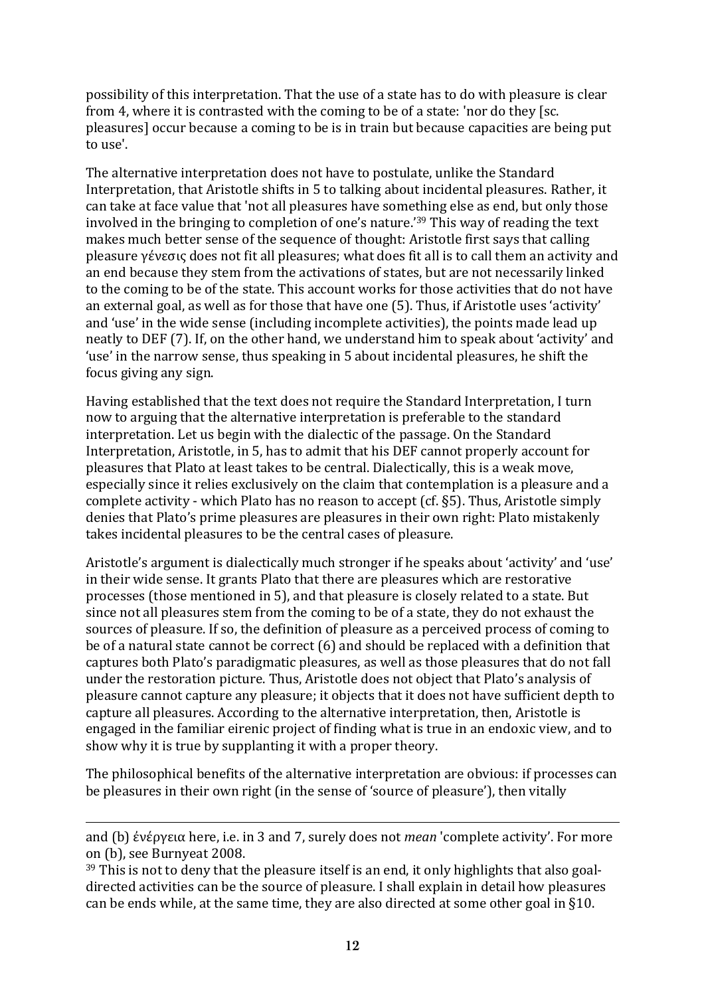possibility of this interpretation. That the use of a state has to do with pleasure is clear from 4, where it is contrasted with the coming to be of a state: 'nor do they [sc. pleasures] occur because a coming to be is in train but because capacities are being put to use'.

The alternative interpretation does not have to postulate, unlike the Standard Interpretation, that Aristotle shifts in 5 to talking about incidental pleasures. Rather, it can take at face value that 'not all pleasures have something else as end, but only those involved in the bringing to completion of one's nature.'<sup>39</sup> This way of reading the text makes much better sense of the sequence of thought: Aristotle first says that calling pleasure γένεσις does not fit all pleasures; what does fit all is to call them an activity and an end because they stem from the activations of states, but are not necessarily linked to the coming to be of the state. This account works for those activities that do not have an external goal, as well as for those that have one (5). Thus, if Aristotle uses 'activity' and 'use' in the wide sense (including incomplete activities), the points made lead up neatly to DEF (7). If, on the other hand, we understand him to speak about 'activity' and 'use' in the narrow sense, thus speaking in 5 about incidental pleasures, he shift the focus giving any sign.

Having established that the text does not require the Standard Interpretation. I turn now to arguing that the alternative interpretation is preferable to the standard interpretation. Let us begin with the dialectic of the passage. On the Standard Interpretation, Aristotle, in 5, has to admit that his DEF cannot properly account for pleasures that Plato at least takes to be central. Dialectically, this is a weak move, especially since it relies exclusively on the claim that contemplation is a pleasure and a complete activity - which Plato has no reason to accept (cf. §5). Thus, Aristotle simply denies that Plato's prime pleasures are pleasures in their own right: Plato mistakenly takes incidental pleasures to be the central cases of pleasure.

Aristotle's argument is dialectically much stronger if he speaks about 'activity' and 'use' in their wide sense. It grants Plato that there are pleasures which are restorative processes (those mentioned in 5), and that pleasure is closely related to a state. But since not all pleasures stem from the coming to be of a state, they do not exhaust the sources of pleasure. If so, the definition of pleasure as a perceived process of coming to be of a natural state cannot be correct  $(6)$  and should be replaced with a definition that captures both Plato's paradigmatic pleasures, as well as those pleasures that do not fall under the restoration picture. Thus, Aristotle does not object that Plato's analysis of pleasure cannot capture any pleasure; it objects that it does not have sufficient depth to capture all pleasures. According to the alternative interpretation, then, Aristotle is engaged in the familiar eirenic project of finding what is true in an endoxic view, and to show why it is true by supplanting it with a proper theory.

The philosophical benefits of the alternative interpretation are obvious: if processes can be pleasures in their own right (in the sense of 'source of pleasure'), then vitally

and (b) ένέργεια here, i.e. in 3 and 7, surely does not *mean* 'complete activity'. For more on (b), see Burnyeat 2008.

 $39$  This is not to deny that the pleasure itself is an end, it only highlights that also goaldirected activities can be the source of pleasure. I shall explain in detail how pleasures can be ends while, at the same time, they are also directed at some other goal in §10.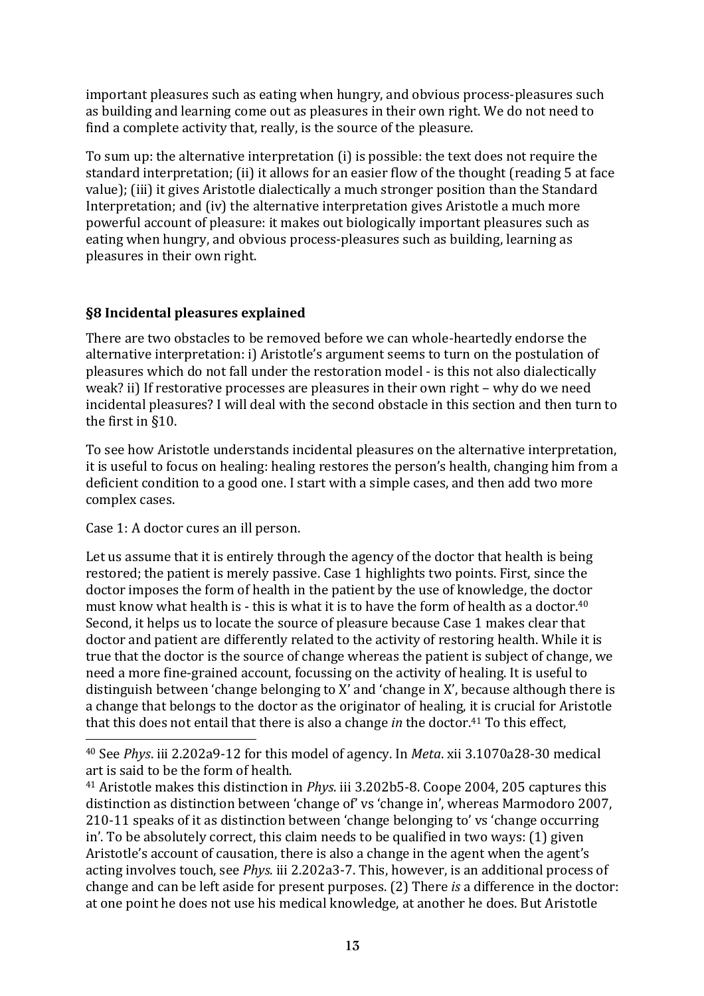important pleasures such as eating when hungry, and obvious process-pleasures such as building and learning come out as pleasures in their own right. We do not need to find a complete activity that, really, is the source of the pleasure.

To sum up: the alternative interpretation (i) is possible: the text does not require the standard interpretation; (ii) it allows for an easier flow of the thought (reading 5 at face value); (iii) it gives Aristotle dialectically a much stronger position than the Standard Interpretation; and  $(iv)$  the alternative interpretation gives Aristotle a much more powerful account of pleasure: it makes out biologically important pleasures such as eating when hungry, and obvious process-pleasures such as building, learning as pleasures in their own right.

# **§8 Incidental pleasures explained**

There are two obstacles to be removed before we can whole-heartedly endorse the alternative interpretation: i) Aristotle's argument seems to turn on the postulation of pleasures which do not fall under the restoration model - is this not also dialectically weak? ii) If restorative processes are pleasures in their own right – why do we need incidental pleasures? I will deal with the second obstacle in this section and then turn to the first in §10.

To see how Aristotle understands incidental pleasures on the alternative interpretation, it is useful to focus on healing: healing restores the person's health, changing him from a deficient condition to a good one. I start with a simple cases, and then add two more complex cases.

Case 1: A doctor cures an ill person.

 $\overline{a}$ 

Let us assume that it is entirely through the agency of the doctor that health is being restored; the patient is merely passive. Case 1 highlights two points. First, since the doctor imposes the form of health in the patient by the use of knowledge, the doctor must know what health is - this is what it is to have the form of health as a doctor.<sup>40</sup> Second, it helps us to locate the source of pleasure because Case 1 makes clear that doctor and patient are differently related to the activity of restoring health. While it is true that the doctor is the source of change whereas the patient is subject of change, we need a more fine-grained account, focussing on the activity of healing. It is useful to distinguish between 'change belonging to  $X'$  and 'change in  $X'$ , because although there is a change that belongs to the doctor as the originator of healing, it is crucial for Aristotle that this does not entail that there is also a change *in* the doctor.<sup>41</sup> To this effect,

<sup>&</sup>lt;sup>40</sup> See *Phys.* iii 2.202a9-12 for this model of agency. In *Meta.* xii 3.1070a28-30 medical art is said to be the form of health.

<sup>&</sup>lt;sup>41</sup> Aristotle makes this distinction in *Phys.* iii 3.202b5-8. Coope 2004, 205 captures this distinction as distinction between 'change of' vs 'change in', whereas Marmodoro 2007, 210-11 speaks of it as distinction between 'change belonging to' vs 'change occurring in'. To be absolutely correct, this claim needs to be qualified in two ways: (1) given Aristotle's account of causation, there is also a change in the agent when the agent's acting involves touch, see *Phys.* iii 2.202a3-7. This, however, is an additional process of change and can be left aside for present purposes. (2) There *is* a difference in the doctor: at one point he does not use his medical knowledge, at another he does. But Aristotle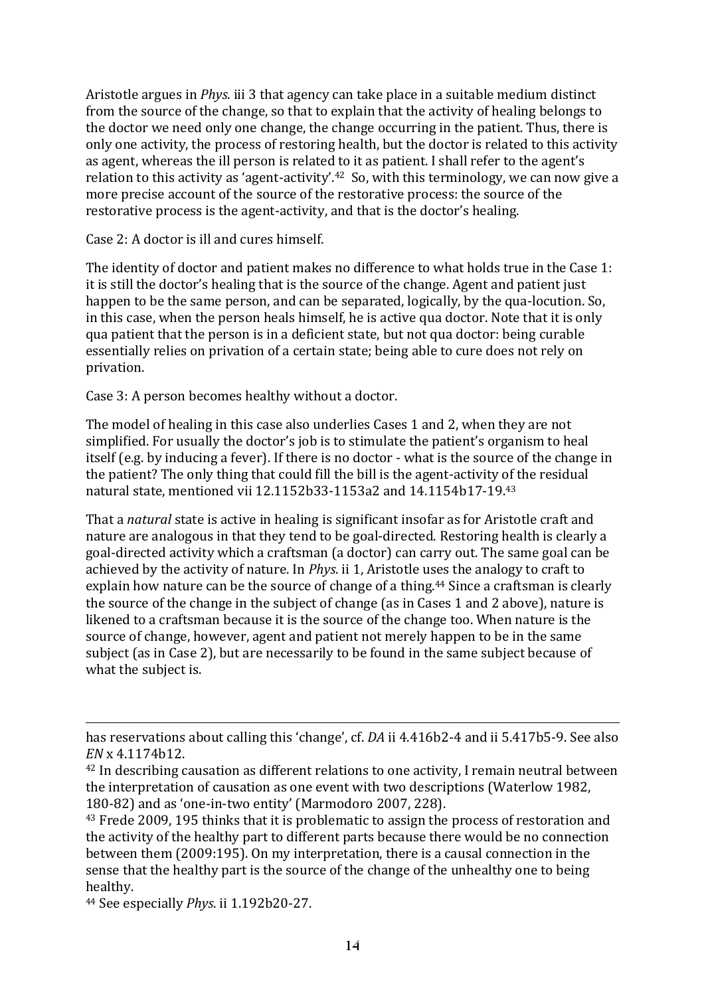Aristotle argues in *Phys.* iii 3 that agency can take place in a suitable medium distinct from the source of the change, so that to explain that the activity of healing belongs to the doctor we need only one change, the change occurring in the patient. Thus, there is only one activity, the process of restoring health, but the doctor is related to this activity as agent, whereas the ill person is related to it as patient. I shall refer to the agent's relation to this activity as 'agent-activity'.<sup>42</sup> So, with this terminology, we can now give a more precise account of the source of the restorative process: the source of the restorative process is the agent-activity, and that is the doctor's healing.

Case 2: A doctor is ill and cures himself.

The identity of doctor and patient makes no difference to what holds true in the Case 1: it is still the doctor's healing that is the source of the change. Agent and patient just happen to be the same person, and can be separated, logically, by the qua-locution. So, in this case, when the person heals himself, he is active qua doctor. Note that it is only qua patient that the person is in a deficient state, but not qua doctor: being curable essentially relies on privation of a certain state; being able to cure does not rely on privation.

Case 3: A person becomes healthy without a doctor.

The model of healing in this case also underlies Cases 1 and 2, when they are not simplified. For usually the doctor's job is to stimulate the patient's organism to heal itself (e.g. by inducing a fever). If there is no doctor - what is the source of the change in the patient? The only thing that could fill the bill is the agent-activity of the residual natural state, mentioned vii 12.1152b33-1153a2 and 14.1154b17-19.43

That a *natural* state is active in healing is significant insofar as for Aristotle craft and nature are analogous in that they tend to be goal-directed. Restoring health is clearly a goal-directed activity which a craftsman (a doctor) can carry out. The same goal can be achieved by the activity of nature. In *Phys*. ii 1, Aristotle uses the analogy to craft to explain how nature can be the source of change of a thing.<sup>44</sup> Since a craftsman is clearly the source of the change in the subject of change  $\int$  as in Cases 1 and 2 above), nature is likened to a craftsman because it is the source of the change too. When nature is the source of change, however, agent and patient not merely happen to be in the same subject (as in Case 2), but are necessarily to be found in the same subject because of what the subject is.

<sup>44</sup> See especially *Phys.* ii 1.192b20-27.

has reservations about calling this 'change', cf. *DA* ii 4.416b2-4 and ii 5.417b5-9. See also *EN* x 4.1174b12.

 $42$  In describing causation as different relations to one activity, I remain neutral between the interpretation of causation as one event with two descriptions (Waterlow 1982, 180-82) and as 'one-in-two entity' (Marmodoro 2007, 228).

<sup>&</sup>lt;sup>43</sup> Frede 2009, 195 thinks that it is problematic to assign the process of restoration and the activity of the healthy part to different parts because there would be no connection between them (2009:195). On my interpretation, there is a causal connection in the sense that the healthy part is the source of the change of the unhealthy one to being healthy.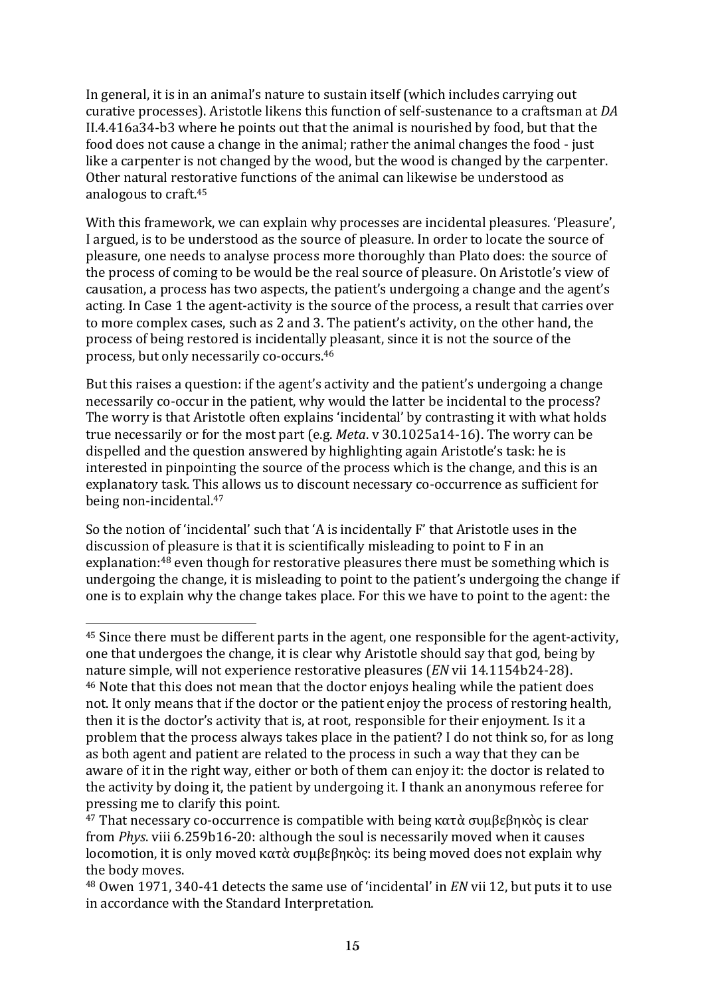In general, it is in an animal's nature to sustain itself (which includes carrying out curative processes). Aristotle likens this function of self-sustenance to a craftsman at *DA*  $II.4.416a34-b3$  where he points out that the animal is nourished by food, but that the food does not cause a change in the animal; rather the animal changes the food - just like a carpenter is not changed by the wood, but the wood is changed by the carpenter. Other natural restorative functions of the animal can likewise be understood as analogous to  $craft.<sup>45</sup>$ 

With this framework, we can explain why processes are incidental pleasures. 'Pleasure', I argued, is to be understood as the source of pleasure. In order to locate the source of pleasure, one needs to analyse process more thoroughly than Plato does: the source of the process of coming to be would be the real source of pleasure. On Aristotle's view of causation, a process has two aspects, the patient's undergoing a change and the agent's acting. In Case 1 the agent-activity is the source of the process, a result that carries over to more complex cases, such as 2 and 3. The patient's activity, on the other hand, the process of being restored is incidentally pleasant, since it is not the source of the process, but only necessarily co-occurs.<sup>46</sup>

But this raises a question: if the agent's activity and the patient's undergoing a change necessarily co-occur in the patient, why would the latter be incidental to the process? The worry is that Aristotle often explains 'incidental' by contrasting it with what holds true necessarily or for the most part (e.g. *Meta*. v 30.1025a14-16). The worry can be dispelled and the question answered by highlighting again Aristotle's task: he is interested in pinpointing the source of the process which is the change, and this is an explanatory task. This allows us to discount necessary co-occurrence as sufficient for being non-incidental.<sup>47</sup>

So the notion of 'incidental' such that 'A is incidentally F' that Aristotle uses in the discussion of pleasure is that it is scientifically misleading to point to  $F$  in an explanation: $48$  even though for restorative pleasures there must be something which is undergoing the change, it is misleading to point to the patient's undergoing the change if one is to explain why the change takes place. For this we have to point to the agent: the

 $45$  Since there must be different parts in the agent, one responsible for the agent-activity, one that undergoes the change, it is clear why Aristotle should say that god, being by nature simple, will not experience restorative pleasures (*EN* vii 14.1154b24-28). <sup>46</sup> Note that this does not mean that the doctor enjoys healing while the patient does not. It only means that if the doctor or the patient enjoy the process of restoring health, then it is the doctor's activity that is, at root, responsible for their enjoyment. Is it a problem that the process always takes place in the patient? I do not think so, for as long as both agent and patient are related to the process in such a way that they can be aware of it in the right way, either or both of them can enjoy it: the doctor is related to the activity by doing it, the patient by undergoing it. I thank an anonymous referee for pressing me to clarify this point.

<sup>&</sup>lt;sup>47</sup> That necessary co-occurrence is compatible with being κατά συμβεβηκὸς is clear from *Phys.* viii 6.259b16-20: although the soul is necessarily moved when it causes locomotion, it is only moved κατὰ συμβεβηκὸς: its being moved does not explain why the body moves.

<sup>&</sup>lt;sup>48</sup> Owen 1971, 340-41 detects the same use of 'incidental' in *EN* vii 12, but puts it to use in accordance with the Standard Interpretation.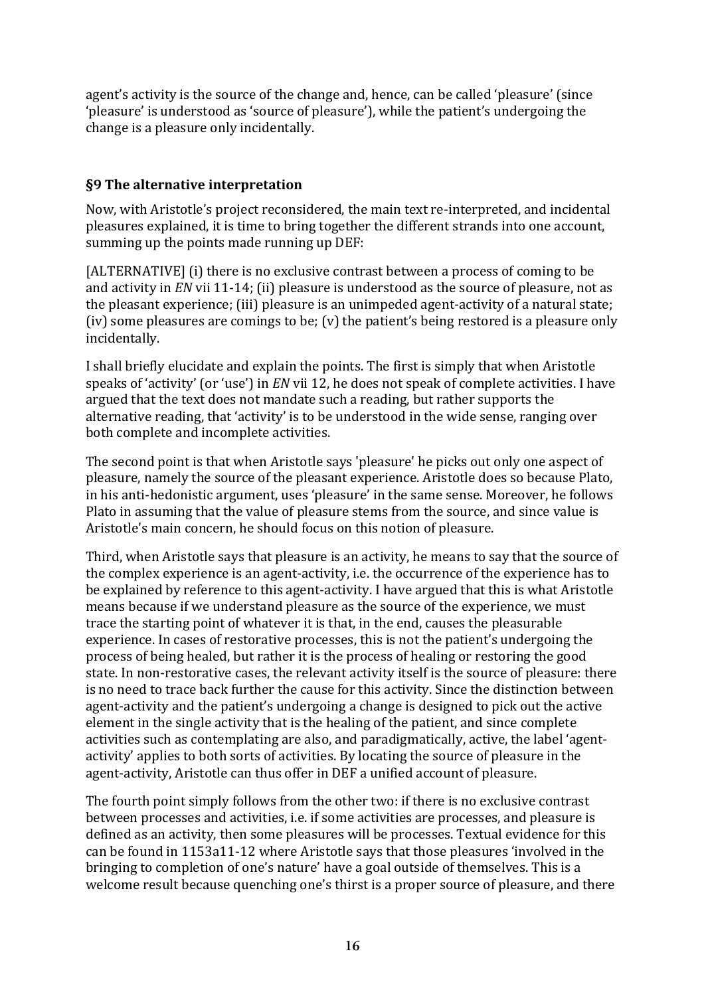agent's activity is the source of the change and, hence, can be called 'pleasure' (since 'pleasure' is understood as 'source of pleasure'), while the patient's undergoing the change is a pleasure only incidentally.

#### **§9 The alternative interpretation**

Now, with Aristotle's project reconsidered, the main text re-interpreted, and incidental pleasures explained, it is time to bring together the different strands into one account, summing up the points made running up DEF:

[ALTERNATIVE] (i) there is no exclusive contrast between a process of coming to be and activity in *EN* vii 11-14; (ii) pleasure is understood as the source of pleasure, not as the pleasant experience; (iii) pleasure is an unimpeded agent-activity of a natural state; (iv) some pleasures are comings to be;  $(v)$  the patient's being restored is a pleasure only incidentally.

I shall briefly elucidate and explain the points. The first is simply that when Aristotle speaks of 'activity' (or 'use') in *EN* vii 12, he does not speak of complete activities. I have argued that the text does not mandate such a reading, but rather supports the alternative reading, that 'activity' is to be understood in the wide sense, ranging over both complete and incomplete activities.

The second point is that when Aristotle says 'pleasure' he picks out only one aspect of pleasure, namely the source of the pleasant experience. Aristotle does so because Plato, in his anti-hedonistic argument, uses 'pleasure' in the same sense. Moreover, he follows Plato in assuming that the value of pleasure stems from the source, and since value is Aristotle's main concern, he should focus on this notion of pleasure.

Third, when Aristotle says that pleasure is an activity, he means to say that the source of the complex experience is an agent-activity, i.e. the occurrence of the experience has to be explained by reference to this agent-activity. I have argued that this is what Aristotle means because if we understand pleasure as the source of the experience, we must trace the starting point of whatever it is that, in the end, causes the pleasurable experience. In cases of restorative processes, this is not the patient's undergoing the process of being healed, but rather it is the process of healing or restoring the good state. In non-restorative cases, the relevant activity itself is the source of pleasure: there is no need to trace back further the cause for this activity. Since the distinction between agent-activity and the patient's undergoing a change is designed to pick out the active element in the single activity that is the healing of the patient, and since complete activities such as contemplating are also, and paradigmatically, active, the label 'agentactivity' applies to both sorts of activities. By locating the source of pleasure in the agent-activity, Aristotle can thus offer in DEF a unified account of pleasure.

The fourth point simply follows from the other two: if there is no exclusive contrast between processes and activities, i.e. if some activities are processes, and pleasure is defined as an activity, then some pleasures will be processes. Textual evidence for this can be found in 1153a11-12 where Aristotle says that those pleasures 'involved in the bringing to completion of one's nature' have a goal outside of themselves. This is a welcome result because quenching one's thirst is a proper source of pleasure, and there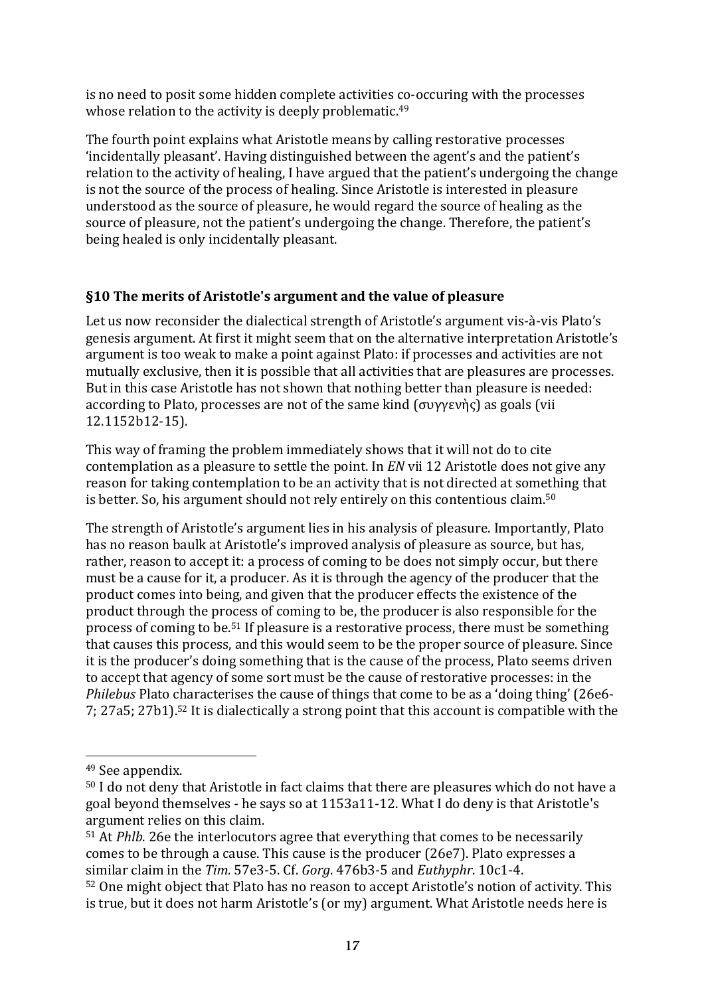is no need to posit some hidden complete activities co-occuring with the processes whose relation to the activity is deeply problematic.<sup>49</sup>

The fourth point explains what Aristotle means by calling restorative processes 'incidentally pleasant'. Having distinguished between the agent's and the patient's relation to the activity of healing, I have argued that the patient's undergoing the change is not the source of the process of healing. Since Aristotle is interested in pleasure understood as the source of pleasure, he would regard the source of healing as the source of pleasure, not the patient's undergoing the change. Therefore, the patient's being healed is only incidentally pleasant.

### **§10** The merits of Aristotle's argument and the value of pleasure

Let us now reconsider the dialectical strength of Aristotle's argument vis-à-vis Plato's genesis argument. At first it might seem that on the alternative interpretation Aristotle's argument is too weak to make a point against Plato: if processes and activities are not mutually exclusive, then it is possible that all activities that are pleasures are processes. But in this case Aristotle has not shown that nothing better than pleasure is needed: according to Plato, processes are not of the same kind  $(\sigma v \gamma \epsilon v)$  as goals (vii 12.1152b12-15).

This way of framing the problem immediately shows that it will not do to cite contemplation as a pleasure to settle the point. In *EN* vii 12 Aristotle does not give any reason for taking contemplation to be an activity that is not directed at something that is better. So, his argument should not rely entirely on this contentious claim.<sup>50</sup>

The strength of Aristotle's argument lies in his analysis of pleasure. Importantly, Plato has no reason baulk at Aristotle's improved analysis of pleasure as source, but has, rather, reason to accept it: a process of coming to be does not simply occur, but there must be a cause for it, a producer. As it is through the agency of the producer that the product comes into being, and given that the producer effects the existence of the product through the process of coming to be, the producer is also responsible for the process of coming to be.<sup>51</sup> If pleasure is a restorative process, there must be something that causes this process, and this would seem to be the proper source of pleasure. Since it is the producer's doing something that is the cause of the process, Plato seems driven to accept that agency of some sort must be the cause of restorative processes: in the *Philebus* Plato characterises the cause of things that come to be as a 'doing thing' (26e6-7;  $27a5$ ;  $27b1$ .<sup>52</sup> It is dialectically a strong point that this account is compatible with the

<sup>&</sup>lt;sup>49</sup> See appendix.

 $50$  I do not deny that Aristotle in fact claims that there are pleasures which do not have a goal beyond themselves - he says so at 1153a11-12. What I do deny is that Aristotle's argument relies on this claim.

 $51$  At *Phlb*. 26e the interlocutors agree that everything that comes to be necessarily comes to be through a cause. This cause is the producer (26e7). Plato expresses a similar claim in the Tim. 57e3-5. Cf. *Gorg*. 476b3-5 and *Euthyphr*. 10c1-4.

<sup>52</sup> One might object that Plato has no reason to accept Aristotle's notion of activity. This is true, but it does not harm Aristotle's (or my) argument. What Aristotle needs here is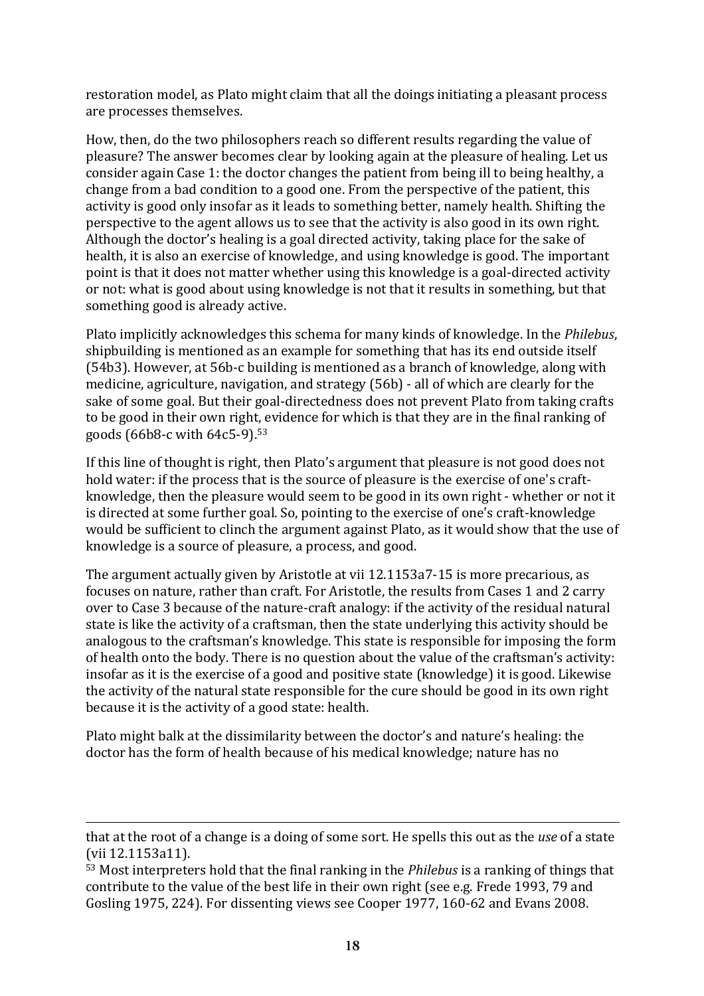restoration model, as Plato might claim that all the doings initiating a pleasant process are processes themselves.

How, then, do the two philosophers reach so different results regarding the value of pleasure? The answer becomes clear by looking again at the pleasure of healing. Let us consider again Case 1: the doctor changes the patient from being ill to being healthy, a change from a bad condition to a good one. From the perspective of the patient, this activity is good only insofar as it leads to something better, namely health. Shifting the perspective to the agent allows us to see that the activity is also good in its own right. Although the doctor's healing is a goal directed activity, taking place for the sake of health, it is also an exercise of knowledge, and using knowledge is good. The important point is that it does not matter whether using this knowledge is a goal-directed activity or not: what is good about using knowledge is not that it results in something, but that something good is already active.

Plato implicitly acknowledges this schema for many kinds of knowledge. In the *Philebus*, shipbuilding is mentioned as an example for something that has its end outside itself (54b3). However, at 56b-c building is mentioned as a branch of knowledge, along with medicine, agriculture, navigation, and strategy (56b) - all of which are clearly for the sake of some goal. But their goal-directedness does not prevent Plato from taking crafts to be good in their own right, evidence for which is that they are in the final ranking of goods  $(66b8-c$  with  $64c5-9$ ).<sup>53</sup>

If this line of thought is right, then Plato's argument that pleasure is not good does not hold water: if the process that is the source of pleasure is the exercise of one's craftknowledge, then the pleasure would seem to be good in its own right - whether or not it is directed at some further goal. So, pointing to the exercise of one's craft-knowledge would be sufficient to clinch the argument against Plato, as it would show that the use of knowledge is a source of pleasure, a process, and good.

The argument actually given by Aristotle at vii  $12.1153a7-15$  is more precarious, as focuses on nature, rather than craft. For Aristotle, the results from Cases 1 and 2 carry over to Case 3 because of the nature-craft analogy: if the activity of the residual natural state is like the activity of a craftsman, then the state underlying this activity should be analogous to the craftsman's knowledge. This state is responsible for imposing the form of health onto the body. There is no question about the value of the craftsman's activity: insofar as it is the exercise of a good and positive state (knowledge) it is good. Likewise the activity of the natural state responsible for the cure should be good in its own right because it is the activity of a good state: health.

Plato might balk at the dissimilarity between the doctor's and nature's healing: the doctor has the form of health because of his medical knowledge; nature has no

that at the root of a change is a doing of some sort. He spells this out as the *use* of a state (vii 12.1153a11).

<sup>53</sup> Most interpreters hold that the final ranking in the *Philebus* is a ranking of things that contribute to the value of the best life in their own right (see e.g. Frede 1993, 79 and Gosling 1975, 224). For dissenting views see Cooper 1977, 160-62 and Evans 2008.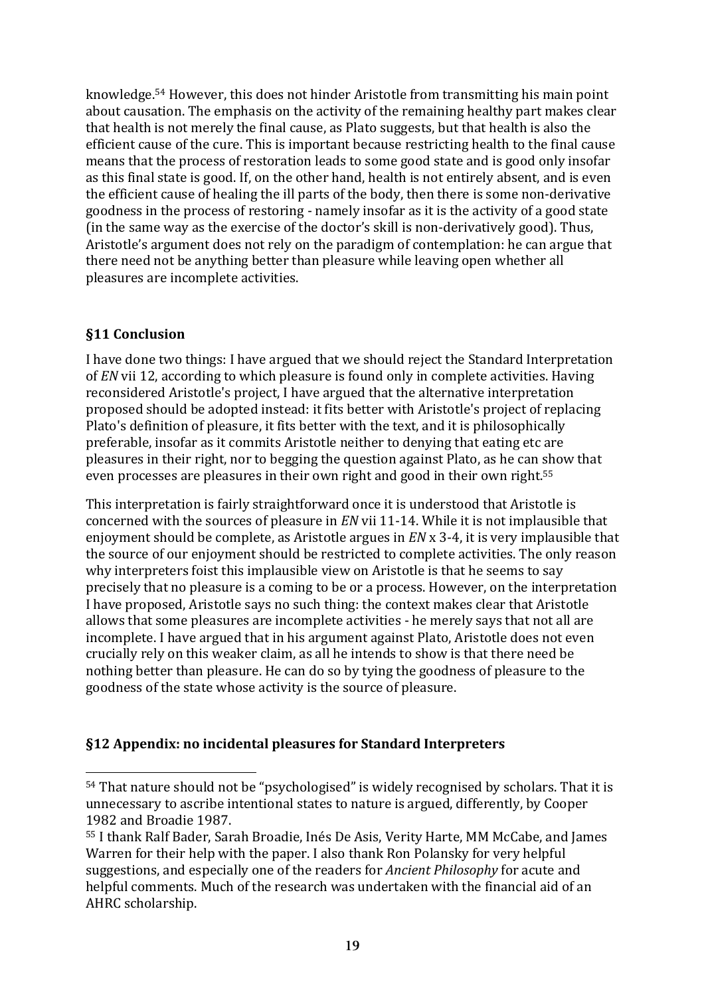knowledge.<sup>54</sup> However, this does not hinder Aristotle from transmitting his main point about causation. The emphasis on the activity of the remaining healthy part makes clear that health is not merely the final cause, as Plato suggests, but that health is also the efficient cause of the cure. This is important because restricting health to the final cause means that the process of restoration leads to some good state and is good only insofar as this final state is good. If, on the other hand, health is not entirely absent, and is even the efficient cause of healing the ill parts of the body, then there is some non-derivative goodness in the process of restoring - namely insofar as it is the activity of a good state (in the same way as the exercise of the doctor's skill is non-derivatively good). Thus, Aristotle's argument does not rely on the paradigm of contemplation: he can argue that there need not be anything better than pleasure while leaving open whether all pleasures are incomplete activities.

# **§11 Conclusion**

 $\overline{a}$ 

I have done two things: I have argued that we should reject the Standard Interpretation of *EN* vii 12, according to which pleasure is found only in complete activities. Having reconsidered Aristotle's project, I have argued that the alternative interpretation proposed should be adopted instead: it fits better with Aristotle's project of replacing Plato's definition of pleasure, it fits better with the text, and it is philosophically preferable, insofar as it commits Aristotle neither to denying that eating etc are pleasures in their right, nor to begging the question against Plato, as he can show that even processes are pleasures in their own right and good in their own right.<sup>55</sup>

This interpretation is fairly straightforward once it is understood that Aristotle is concerned with the sources of pleasure in *EN* vii 11-14. While it is not implausible that enjoyment should be complete, as Aristotle argues in *EN* x 3-4, it is very implausible that the source of our enjoyment should be restricted to complete activities. The only reason why interpreters foist this implausible view on Aristotle is that he seems to say precisely that no pleasure is a coming to be or a process. However, on the interpretation I have proposed, Aristotle says no such thing: the context makes clear that Aristotle allows that some pleasures are incomplete activities - he merely says that not all are incomplete. I have argued that in his argument against Plato, Aristotle does not even crucially rely on this weaker claim, as all he intends to show is that there need be nothing better than pleasure. He can do so by tying the goodness of pleasure to the goodness of the state whose activity is the source of pleasure.

# **§12 Appendix: no incidental pleasures for Standard Interpreters**

<sup>54</sup> That nature should not be "psychologised" is widely recognised by scholars. That it is unnecessary to ascribe intentional states to nature is argued, differently, by Cooper 1982 and Broadie 1987.

<sup>55</sup> I thank Ralf Bader. Sarah Broadie, Inés De Asis, Verity Harte, MM McCabe, and James Warren for their help with the paper. I also thank Ron Polansky for very helpful suggestions, and especially one of the readers for *Ancient Philosophy* for acute and helpful comments. Much of the research was undertaken with the financial aid of an AHRC scholarship.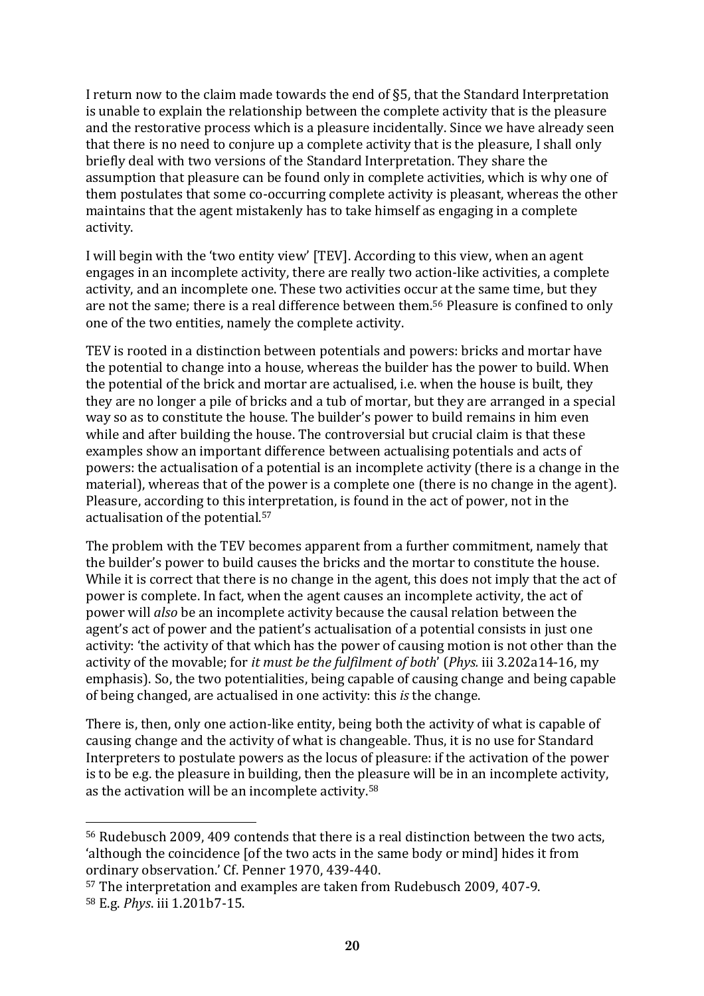I return now to the claim made towards the end of  $\S5$ , that the Standard Interpretation is unable to explain the relationship between the complete activity that is the pleasure and the restorative process which is a pleasure incidentally. Since we have already seen that there is no need to conjure up a complete activity that is the pleasure, I shall only briefly deal with two versions of the Standard Interpretation. They share the assumption that pleasure can be found only in complete activities, which is why one of them postulates that some co-occurring complete activity is pleasant, whereas the other maintains that the agent mistakenly has to take himself as engaging in a complete activity.

I will begin with the 'two entity view' [TEV]. According to this view, when an agent engages in an incomplete activity, there are really two action-like activities, a complete activity, and an incomplete one. These two activities occur at the same time, but they are not the same; there is a real difference between them.<sup>56</sup> Pleasure is confined to only one of the two entities, namely the complete activity.

TEV is rooted in a distinction between potentials and powers: bricks and mortar have the potential to change into a house, whereas the builder has the power to build. When the potential of the brick and mortar are actualised, i.e. when the house is built, they they are no longer a pile of bricks and a tub of mortar, but they are arranged in a special way so as to constitute the house. The builder's power to build remains in him even while and after building the house. The controversial but crucial claim is that these examples show an important difference between actualising potentials and acts of powers: the actualisation of a potential is an incomplete activity (there is a change in the material), whereas that of the power is a complete one (there is no change in the agent). Pleasure, according to this interpretation, is found in the act of power, not in the actualisation of the potential.<sup>57</sup>

The problem with the TEV becomes apparent from a further commitment, namely that the builder's power to build causes the bricks and the mortar to constitute the house. While it is correct that there is no change in the agent, this does not imply that the act of power is complete. In fact, when the agent causes an incomplete activity, the act of power will *also* be an incomplete activity because the causal relation between the agent's act of power and the patient's actualisation of a potential consists in just one activity: 'the activity of that which has the power of causing motion is not other than the activity of the movable; for *it must be the fulfilment of both'* (*Phys.* iii 3.202a14-16, my emphasis). So, the two potentialities, being capable of causing change and being capable of being changed, are actualised in one activity: this *is* the change.

There is, then, only one action-like entity, being both the activity of what is capable of causing change and the activity of what is changeable. Thus, it is no use for Standard Interpreters to postulate powers as the locus of pleasure: if the activation of the power is to be e.g. the pleasure in building, then the pleasure will be in an incomplete activity, as the activation will be an incomplete activity.<sup>58</sup>

 $56$  Rudebusch 2009, 409 contends that there is a real distinction between the two acts, 'although the coincidence [of the two acts in the same body or mind] hides it from ordinary observation.' Cf. Penner 1970, 439-440.

<sup>57</sup> The interpretation and examples are taken from Rudebusch 2009, 407-9. <sup>58</sup> E.g. *Phys*. iii 1.201b7-15.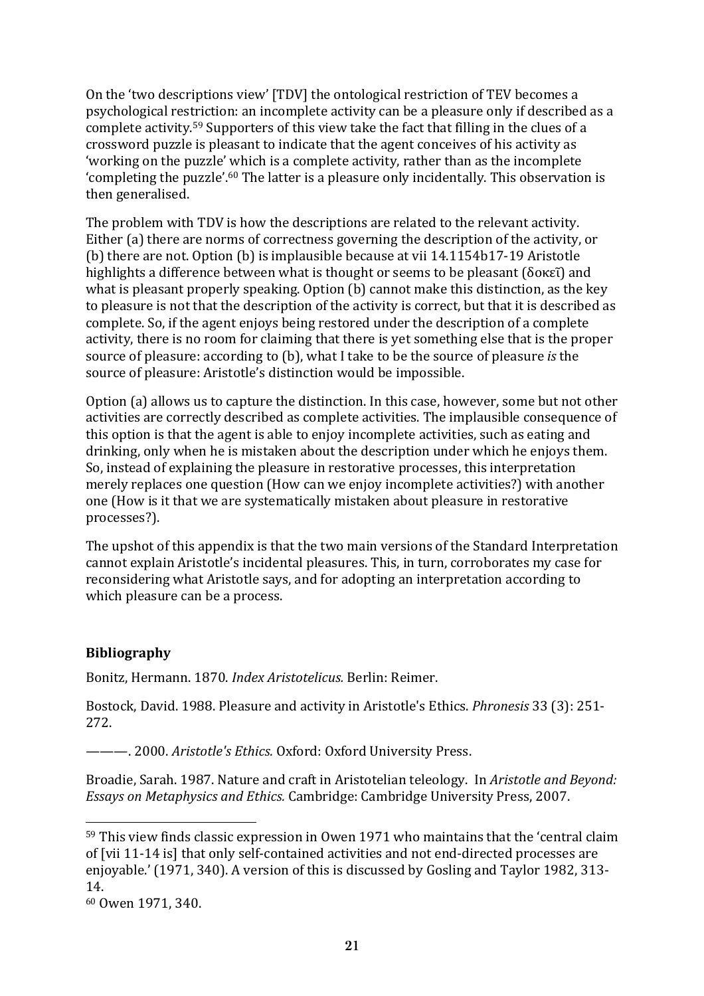On the 'two descriptions view' [TDV] the ontological restriction of TEV becomes a psychological restriction: an incomplete activity can be a pleasure only if described as a complete activity.<sup>59</sup> Supporters of this view take the fact that filling in the clues of a crossword puzzle is pleasant to indicate that the agent conceives of his activity as 'working on the puzzle' which is a complete activity, rather than as the incomplete 'completing the puzzle'.<sup>60</sup> The latter is a pleasure only incidentally. This observation is then generalised.

The problem with TDV is how the descriptions are related to the relevant activity. Either (a) there are norms of correctness governing the description of the activity, or (b) there are not. Option (b) is implausible because at vii  $14.1154b17-19$  Aristotle highlights a difference between what is thought or seems to be pleasant (δοκεῖ) and what is pleasant properly speaking. Option  $(b)$  cannot make this distinction, as the key to pleasure is not that the description of the activity is correct, but that it is described as complete. So, if the agent enjoys being restored under the description of a complete activity, there is no room for claiming that there is yet something else that is the proper source of pleasure: according to (b), what I take to be the source of pleasure *is* the source of pleasure: Aristotle's distinction would be impossible.

Option (a) allows us to capture the distinction. In this case, however, some but not other activities are correctly described as complete activities. The implausible consequence of this option is that the agent is able to enjoy incomplete activities, such as eating and drinking, only when he is mistaken about the description under which he enjoys them. So, instead of explaining the pleasure in restorative processes, this interpretation merely replaces one question (How can we enjoy incomplete activities?) with another one (How is it that we are systematically mistaken about pleasure in restorative processes?).

The upshot of this appendix is that the two main versions of the Standard Interpretation cannot explain Aristotle's incidental pleasures. This, in turn, corroborates my case for reconsidering what Aristotle says, and for adopting an interpretation according to which pleasure can be a process.

#### **Bibliography**

Bonitz, Hermann. 1870. *Index Aristotelicus.* Berlin: Reimer.

Bostock, David. 1988. Pleasure and activity in Aristotle's Ethics. *Phronesis* 33 (3): 251-272.

 $---$ . 2000. *Aristotle's Ethics.* Oxford: Oxford University Press.

Broadie, Sarah. 1987. Nature and craft in Aristotelian teleology. In *Aristotle and Beyond: Essays on Metaphysics and Ethics.* Cambridge: Cambridge University Press, 2007.

 $59$  This view finds classic expression in Owen 1971 who maintains that the 'central claim of [vii 11-14 is] that only self-contained activities and not end-directed processes are enjoyable.' (1971, 340). A version of this is discussed by Gosling and Taylor 1982, 313-14.

<sup>60</sup> Owen 1971, 340.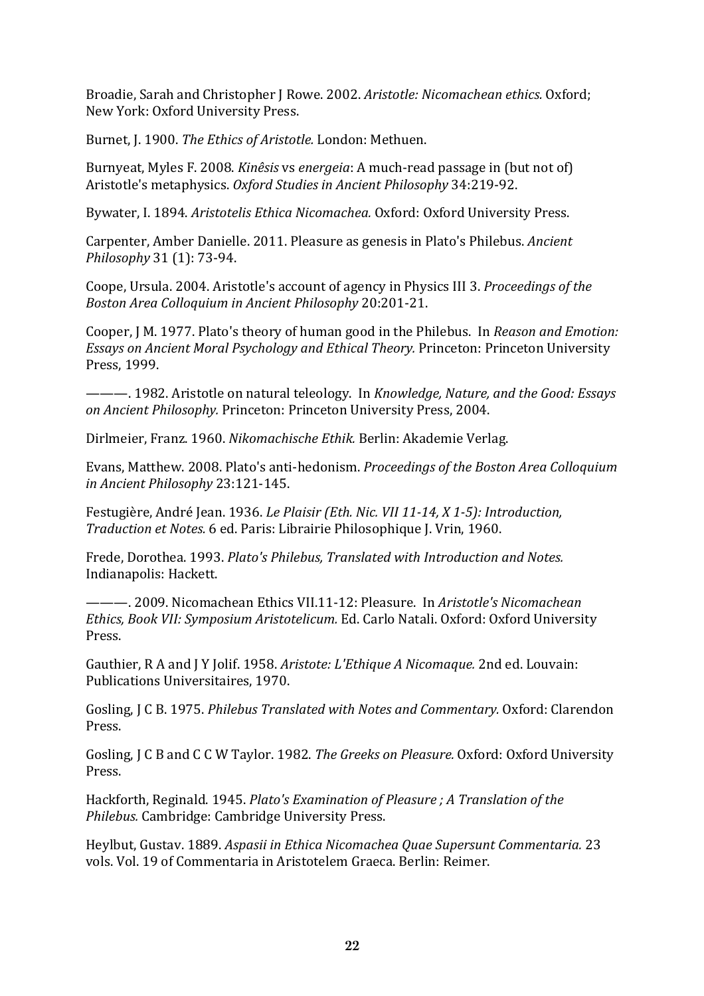Broadie, Sarah and Christopher J Rowe. 2002. Aristotle: Nicomachean ethics. Oxford; New York: Oxford University Press.

Burnet, J. 1900. *The Ethics of Aristotle.* London: Methuen.

Burnyeat, Myles F. 2008. *Kinêsis* vs *energeia*: A much-read passage in (but not of) Aristotle's metaphysics. *Oxford Studies in Ancient Philosophy* 34:219-92.

Bywater, I. 1894. *Aristotelis Ethica Nicomachea.* Oxford: Oxford University Press.

Carpenter, Amber Danielle. 2011. Pleasure as genesis in Plato's Philebus. *Ancient Philosophy* 31 (1): 73-94.

Coope, Ursula. 2004. Aristotle's account of agency in Physics III 3. *Proceedings of the Boston Area Colloquium in Ancient Philosophy* 20:201-21.

Cooper, J.M. 1977. Plato's theory of human good in the Philebus. In *Reason and Emotion: Essays on Ancient Moral Psychology and Ethical Theory.* Princeton: Princeton University Press, 1999.

———. 1982. Aristotle on natural teleology. In *Knowledge, Nature, and the Good: Essays on Ancient Philosophy. Princeton: Princeton University Press, 2004.* 

Dirlmeier, Franz. 1960. Nikomachische Ethik. Berlin: Akademie Verlag.

Evans, Matthew. 2008. Plato's anti-hedonism. *Proceedings of the Boston Area Colloquium in Ancient Philosophy* 23:121-145.

Festugière, André Jean. 1936. *Le Plaisir (Eth. Nic. VII 11-14, X 1-5): Introduction, Traduction et Notes.* 6 ed. Paris: Librairie Philosophique J. Vrin, 1960.

Frede, Dorothea. 1993. *Plato's Philebus, Translated with Introduction and Notes.* Indianapolis: Hackett.

———. 2009. Nicomachean Ethics VII.11-12: Pleasure. In *Aristotle's Nicomachean Ethics, Book VII: Symposium Aristotelicum.* Ed. Carlo Natali. Oxford: Oxford University Press.

Gauthier, R A and J Y Jolif. 1958. Aristote: L'Ethique A Nicomaque. 2nd ed. Louvain: Publications Universitaires, 1970.

Gosling, J C B. 1975. *Philebus Translated with Notes and Commentary.* Oxford: Clarendon Press.

Gosling, J C B and C C W Taylor. 1982. *The Greeks on Pleasure.* Oxford: Oxford University Press.

Hackforth, Reginald. 1945. *Plato's Examination of Pleasure ; A Translation of the* Philebus. Cambridge: Cambridge University Press.

Heylbut, Gustav. 1889. *Aspasii in Ethica Nicomachea Quae Supersunt Commentaria.* 23 vols. Vol. 19 of Commentaria in Aristotelem Graeca. Berlin: Reimer.